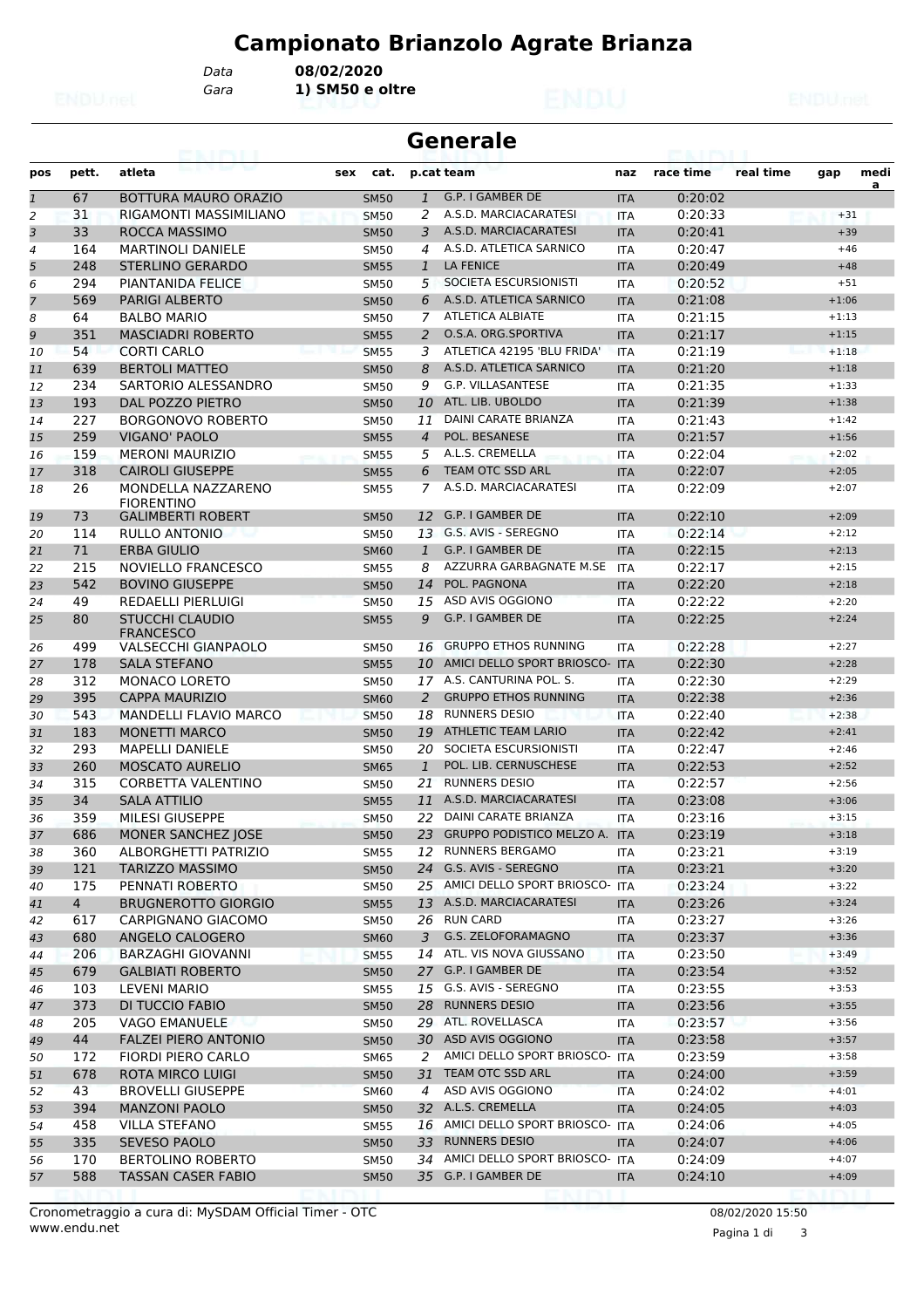*Data* **08/02/2020**

*Gara* **1) SM50 e oltre**

|              | <b>Generale</b><br>63. I PS I. I |                                            |             |                |                                   |            |           |           |         |           |  |  |
|--------------|----------------------------------|--------------------------------------------|-------------|----------------|-----------------------------------|------------|-----------|-----------|---------|-----------|--|--|
| pos          | pett.                            | atleta                                     | cat.<br>sex |                | p.cat team                        | naz        | race time | real time | gap     | medi<br>a |  |  |
| $\mathbf{1}$ | 67                               | BOTTURA MAURO ORAZIO                       | <b>SM50</b> | $\mathbf{1}$   | G.P. I GAMBER DE                  | <b>ITA</b> | 0:20:02   |           |         |           |  |  |
| 2            | 31                               | RIGAMONTI MASSIMILIANO                     | <b>SM50</b> | 2              | A.S.D. MARCIACARATESI             | <b>ITA</b> | 0:20:33   |           | $+31$   |           |  |  |
| 3            | 33                               | ROCCA MASSIMO                              | <b>SM50</b> | 3              | A.S.D. MARCIACARATESI             | <b>ITA</b> | 0:20:41   |           | $+39$   |           |  |  |
| 4            | 164                              | <b>MARTINOLI DANIELE</b>                   | <b>SM50</b> | 4              | A.S.D. ATLETICA SARNICO           | <b>ITA</b> | 0:20:47   |           | $+46$   |           |  |  |
| 5            | 248                              | STERLINO GERARDO                           | <b>SM55</b> | $\mathbf{1}$   | <b>LA FENICE</b>                  | <b>ITA</b> | 0:20:49   |           | $+48$   |           |  |  |
| 6            | 294                              | <b>PIANTANIDA FELICE</b>                   | <b>SM50</b> | 5              | SOCIETA ESCURSIONISTI             | ITA        | 0:20:52   |           | $+51$   |           |  |  |
| 7            | 569                              | <b>PARIGI ALBERTO</b>                      | <b>SM50</b> | 6              | A.S.D. ATLETICA SARNICO           | <b>ITA</b> | 0:21:08   |           | $+1:06$ |           |  |  |
| 8            | 64                               | <b>BALBO MARIO</b>                         | <b>SM50</b> | 7              | <b>ATLETICA ALBIATE</b>           | <b>ITA</b> | 0:21:15   |           | $+1:13$ |           |  |  |
| 9            | 351                              | <b>MASCIADRI ROBERTO</b>                   | <b>SM55</b> | 2              | O.S.A. ORG.SPORTIVA               | <b>ITA</b> | 0:21:17   |           | $+1:15$ |           |  |  |
| 10           | 54                               | <b>CORTI CARLO</b>                         | <b>SM55</b> | 3              | ATLETICA 42195 'BLU FRIDA'        | <b>ITA</b> | 0:21:19   |           | $+1:18$ |           |  |  |
| 11           | 639                              | <b>BERTOLI MATTEO</b>                      | <b>SM50</b> | 8              | A.S.D. ATLETICA SARNICO           | <b>ITA</b> | 0:21:20   |           | $+1:18$ |           |  |  |
| 12           | 234                              | SARTORIO ALESSANDRO                        | <b>SM50</b> | 9              | <b>G.P. VILLASANTESE</b>          | ITA        | 0:21:35   |           | $+1:33$ |           |  |  |
| 13           | 193                              | DAL POZZO PIETRO                           | <b>SM50</b> | 10             | ATL. LIB. UBOLDO                  | <b>ITA</b> | 0:21:39   |           | $+1:38$ |           |  |  |
| 14           | 227                              | <b>BORGONOVO ROBERTO</b>                   | <b>SM50</b> | 11             | <b>DAINI CARATE BRIANZA</b>       | <b>ITA</b> | 0:21:43   |           | $+1:42$ |           |  |  |
| 15           | 259                              | <b>VIGANO' PAOLO</b>                       | <b>SM55</b> | $\overline{4}$ | POL. BESANESE                     | <b>ITA</b> | 0:21:57   |           | $+1:56$ |           |  |  |
| 16           | 159                              | <b>MERONI MAURIZIO</b>                     | <b>SM55</b> | 5              | A.L.S. CREMELLA                   | <b>ITA</b> | 0:22:04   |           | $+2:02$ |           |  |  |
| 17           | 318                              | <b>CAIROLI GIUSEPPE</b>                    | <b>SM55</b> | 6              | <b>TEAM OTC SSD ARL</b>           | <b>ITA</b> | 0:22:07   |           | $+2:05$ |           |  |  |
| 18           | 26                               | MONDELLA NAZZARENO<br><b>FIORENTINO</b>    | <b>SM55</b> | 7              | A.S.D. MARCIACARATESI             | <b>ITA</b> | 0:22:09   |           | $+2:07$ |           |  |  |
| 19           | 73                               | <b>GALIMBERTI ROBERT</b>                   | <b>SM50</b> | 12             | G.P. I GAMBER DE                  | <b>ITA</b> | 0:22:10   |           | $+2:09$ |           |  |  |
| 20           | 114                              | RULLO ANTONIO                              | <b>SM50</b> | 13             | G.S. AVIS - SEREGNO               | <b>ITA</b> | 0:22:14   |           | $+2:12$ |           |  |  |
| 21           | 71                               | <b>ERBA GIULIO</b>                         | <b>SM60</b> | $\mathbf{1}$   | G.P. I GAMBER DE                  | <b>ITA</b> | 0:22:15   |           | $+2:13$ |           |  |  |
| 22           | 215                              | NOVIELLO FRANCESCO                         | <b>SM55</b> | 8              | AZZURRA GARBAGNATE M.SE           | <b>ITA</b> | 0:22:17   |           | $+2:15$ |           |  |  |
| 23           | 542                              | <b>BOVINO GIUSEPPE</b>                     | <b>SM50</b> | 14             | POL. PAGNONA                      | <b>ITA</b> | 0:22:20   |           | $+2:18$ |           |  |  |
| 24           | 49                               | <b>REDAELLI PIERLUIGI</b>                  | <b>SM50</b> | 15             | ASD AVIS OGGIONO                  | <b>ITA</b> | 0:22:22   |           | $+2:20$ |           |  |  |
| 25           | 80                               | <b>STUCCHI CLAUDIO</b><br><b>FRANCESCO</b> | <b>SM55</b> | 9              | G.P. I GAMBER DE                  | <b>ITA</b> | 0:22:25   |           | $+2:24$ |           |  |  |
| 26           | 499                              | <b>VALSECCHI GIANPAOLO</b>                 | <b>SM50</b> | 16             | <b>GRUPPO ETHOS RUNNING</b>       | <b>ITA</b> | 0:22:28   |           | $+2:27$ |           |  |  |
| 27           | 178                              | <b>SALA STEFANO</b>                        | <b>SM55</b> | 10             | AMICI DELLO SPORT BRIOSCO- ITA    |            | 0:22:30   |           | $+2:28$ |           |  |  |
| 28           | 312                              | <b>MONACO LORETO</b>                       | <b>SM50</b> | 17             | A.S. CANTURINA POL. S.            | <b>ITA</b> | 0:22:30   |           | $+2:29$ |           |  |  |
| 29           | 395                              | <b>CAPPA MAURIZIO</b>                      | <b>SM60</b> | 2              | <b>GRUPPO ETHOS RUNNING</b>       | <b>ITA</b> | 0:22:38   |           | $+2:36$ |           |  |  |
| 30           | 543                              | <b>MANDELLI FLAVIO MARCO</b>               | <b>SM50</b> | 18             | <b>RUNNERS DESIO</b>              | <b>ITA</b> | 0:22:40   |           | $+2:38$ |           |  |  |
| 31           | 183                              | <b>MONETTI MARCO</b>                       | <b>SM50</b> | 19             | <b>ATHLETIC TEAM LARIO</b>        | <b>ITA</b> | 0:22:42   |           | $+2:41$ |           |  |  |
| 32           | 293                              | <b>MAPELLI DANIELE</b>                     | <b>SM50</b> | 20             | SOCIETA ESCURSIONISTI             | ITA        | 0:22:47   |           | $+2:46$ |           |  |  |
| 33           | 260                              | <b>MOSCATO AURELIO</b>                     | <b>SM65</b> | $\mathbf{1}$   | POL. LIB. CERNUSCHESE             | <b>ITA</b> | 0:22:53   |           | $+2:52$ |           |  |  |
| 34           | 315                              | <b>CORBETTA VALENTINO</b>                  | <b>SM50</b> | 21             | <b>RUNNERS DESIO</b>              | <b>ITA</b> | 0:22:57   |           | $+2:56$ |           |  |  |
| 35           | 34                               | <b>SALA ATTILIO</b>                        | <b>SM55</b> | 11             | A.S.D. MARCIACARATESI             | <b>ITA</b> | 0:23:08   |           | $+3:06$ |           |  |  |
| 36           | 359                              | MILESI GIUSEPPE                            | <b>SM50</b> | 22.            | DAINI CARATE BRIANZA              | <b>ITA</b> | 0:23:16   |           | $+3:15$ |           |  |  |
| 37           | 686                              | MONER SANCHEZ JOSE                         | <b>SM50</b> |                | 23 GRUPPO PODISTICO MELZO A. ITA  |            | 0:23:19   |           | $+3:18$ |           |  |  |
| 38           | 360                              | ALBORGHETTI PATRIZIO                       | <b>SM55</b> |                | 12 RUNNERS BERGAMO                | ITA        | 0:23:21   |           | $+3:19$ |           |  |  |
| 39           | 121                              | <b>TARIZZO MASSIMO</b>                     | <b>SM50</b> |                | 24 G.S. AVIS - SEREGNO            | <b>ITA</b> | 0:23:21   |           | $+3:20$ |           |  |  |
| 40           | 175                              | PENNATI ROBERTO                            | <b>SM50</b> |                | 25 AMICI DELLO SPORT BRIOSCO- ITA |            | 0:23:24   |           | $+3:22$ |           |  |  |
| 41           | $\overline{4}$                   | <b>BRUGNEROTTO GIORGIO</b>                 | <b>SM55</b> |                | 13 A.S.D. MARCIACARATESI          | <b>ITA</b> | 0:23:26   |           | $+3:24$ |           |  |  |
| 42           | 617                              | CARPIGNANO GIACOMO                         | <b>SM50</b> |                | 26 RUN CARD                       | ITA        | 0:23:27   |           | $+3:26$ |           |  |  |
| 43           | 680                              | ANGELO CALOGERO                            | <b>SM60</b> | 3              | G.S. ZELOFORAMAGNO                | <b>ITA</b> | 0:23:37   |           | $+3:36$ |           |  |  |
| 44           | 206                              | <b>BARZAGHI GIOVANNI</b>                   | <b>SM55</b> |                | 14 ATL. VIS NOVA GIUSSANO         | ITA        | 0:23:50   |           | $+3:49$ |           |  |  |
| 45           | 679                              | <b>GALBIATI ROBERTO</b>                    | <b>SM50</b> |                | 27 G.P. I GAMBER DE               | <b>ITA</b> | 0:23:54   |           | $+3:52$ |           |  |  |
| 46           | 103                              | <b>LEVENI MARIO</b>                        | <b>SM55</b> |                | 15 G.S. AVIS - SEREGNO            | ITA        | 0:23:55   |           | $+3:53$ |           |  |  |
| 47           | 373                              | DI TUCCIO FABIO                            | <b>SM50</b> | 28             | <b>RUNNERS DESIO</b>              | <b>ITA</b> | 0:23:56   |           | $+3:55$ |           |  |  |
| 48           | 205                              | <b>VAGO EMANUELE</b>                       | <b>SM50</b> |                | 29 ATL. ROVELLASCA                | ITA        | 0:23:57   |           | $+3:56$ |           |  |  |
| 49           | 44                               | <b>FALZEI PIERO ANTONIO</b>                | <b>SM50</b> |                | 30 ASD AVIS OGGIONO               | <b>ITA</b> | 0:23:58   |           | $+3:57$ |           |  |  |
| 50           | 172                              | <b>FIORDI PIERO CARLO</b>                  | SM65        | 2              | AMICI DELLO SPORT BRIOSCO- ITA    |            | 0:23:59   |           | $+3:58$ |           |  |  |
| 51           | 678                              | ROTA MIRCO LUIGI                           | <b>SM50</b> |                | 31 TEAM OTC SSD ARL               | <b>ITA</b> | 0:24:00   |           | $+3:59$ |           |  |  |
| 52           | 43                               | <b>BROVELLI GIUSEPPE</b>                   | <b>SM60</b> | 4              | ASD AVIS OGGIONO                  | ITA        | 0:24:02   |           | $+4:01$ |           |  |  |
| 53           | 394                              | <b>MANZONI PAOLO</b>                       | <b>SM50</b> |                | 32 A.L.S. CREMELLA                | <b>ITA</b> | 0:24:05   |           | $+4:03$ |           |  |  |
| 54           | 458                              | <b>VILLA STEFANO</b>                       | <b>SM55</b> |                | 16 AMICI DELLO SPORT BRIOSCO- ITA |            | 0:24:06   |           | $+4:05$ |           |  |  |
| 55           | 335                              | SEVESO PAOLO                               | <b>SM50</b> | 33             | <b>RUNNERS DESIO</b>              | <b>ITA</b> | 0:24:07   |           | $+4:06$ |           |  |  |
| 56           | 170                              | <b>BERTOLINO ROBERTO</b>                   | <b>SM50</b> |                | 34 AMICI DELLO SPORT BRIOSCO- ITA |            | 0:24:09   |           | $+4:07$ |           |  |  |
| 57           | 588                              | TASSAN CASER FABIO                         | <b>SM50</b> |                | 35 G.P. I GAMBER DE               | <b>ITA</b> | 0:24:10   |           | $+4:09$ |           |  |  |

Pagina 1 di 3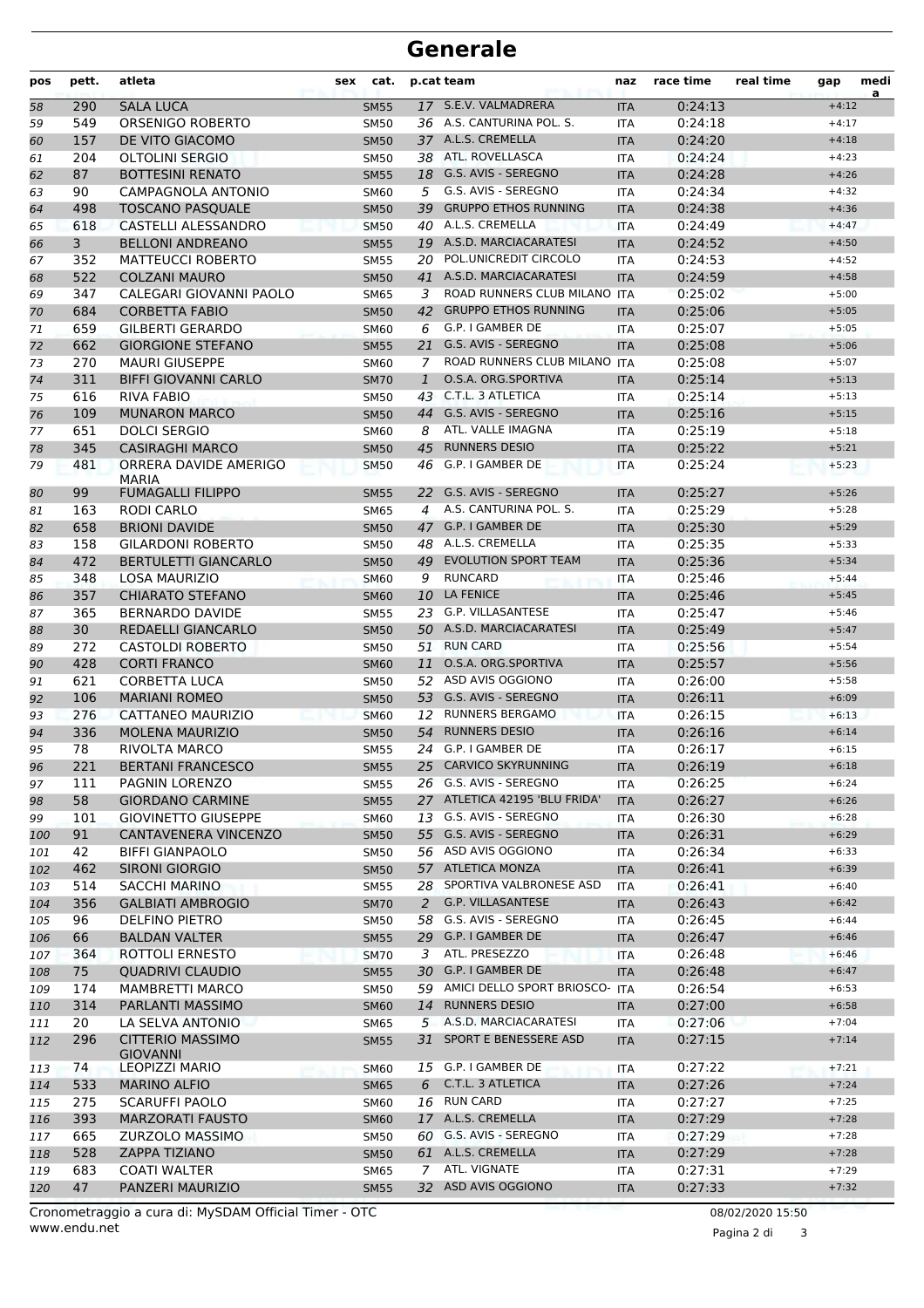| pos | pett. | atleta                                     | sex | cat.        |              | p.cat team                        | naz        | race time | real time | gap     | medi<br>a |
|-----|-------|--------------------------------------------|-----|-------------|--------------|-----------------------------------|------------|-----------|-----------|---------|-----------|
| 58  | 290   | <b>SALA LUCA</b>                           |     | <b>SM55</b> |              | 17 S.E.V. VALMADRERA              | <b>ITA</b> | 0:24:13   |           | $+4:12$ |           |
| 59  | 549   | ORSENIGO ROBERTO                           |     | <b>SM50</b> |              | 36 A.S. CANTURINA POL. S.         | <b>ITA</b> | 0:24:18   |           | $+4:17$ |           |
| 60  | 157   | DE VITO GIACOMO                            |     | <b>SM50</b> |              | 37 A.L.S. CREMELLA                | <b>ITA</b> | 0:24:20   |           | $+4:18$ |           |
| 61  | 204   | <b>OLTOLINI SERGIO</b>                     |     | <b>SM50</b> |              | 38 ATL. ROVELLASCA                | <b>ITA</b> | 0:24:24   |           | $+4:23$ |           |
| 62  | 87    | <b>BOTTESINI RENATO</b>                    |     | <b>SM55</b> |              | 18 G.S. AVIS - SEREGNO            | <b>ITA</b> | 0:24:28   |           | $+4:26$ |           |
| 63  | 90    | CAMPAGNOLA ANTONIO                         |     | SM60        |              | 5 G.S. AVIS - SEREGNO             | <b>ITA</b> | 0:24:34   |           | $+4:32$ |           |
| 64  | 498   | <b>TOSCANO PASQUALE</b>                    |     | <b>SM50</b> |              | 39 GRUPPO ETHOS RUNNING           | <b>ITA</b> | 0:24:38   |           | $+4:36$ |           |
| 65  | 618   | <b>CASTELLI ALESSANDRO</b>                 |     | <b>SM50</b> |              | 40 A.L.S. CREMELLA                | <b>ITA</b> | 0:24:49   |           | $+4:47$ |           |
| 66  | 3     | <b>BELLONI ANDREANO</b>                    |     | <b>SM55</b> |              | 19 A.S.D. MARCIACARATESI          | <b>ITA</b> | 0:24:52   |           | $+4:50$ |           |
| 67  | 352   | <b>MATTEUCCI ROBERTO</b>                   |     | <b>SM55</b> | 20           | POL.UNICREDIT CIRCOLO             | <b>ITA</b> | 0:24:53   |           | $+4:52$ |           |
| 68  | 522   | <b>COLZANI MAURO</b>                       |     | <b>SM50</b> |              | 41 A.S.D. MARCIACARATESI          | <b>ITA</b> | 0:24:59   |           | $+4:58$ |           |
| 69  | 347   | CALEGARI GIOVANNI PAOLO                    |     | SM65        | 3            | ROAD RUNNERS CLUB MILANO ITA      |            | 0:25:02   |           | $+5:00$ |           |
| 70  | 684   | <b>CORBETTA FABIO</b>                      |     | <b>SM50</b> |              | 42 GRUPPO ETHOS RUNNING           | <b>ITA</b> | 0:25:06   |           | $+5:05$ |           |
| 71  | 659   | <b>GILBERTI GERARDO</b>                    |     | SM60        | 6            | G.P. I GAMBER DE                  | <b>ITA</b> | 0:25:07   |           | $+5:05$ |           |
| 72  | 662   | <b>GIORGIONE STEFANO</b>                   |     | <b>SM55</b> | 21           | G.S. AVIS - SEREGNO               | <b>ITA</b> | 0:25:08   |           | $+5:06$ |           |
| 73  | 270   | <b>MAURI GIUSEPPE</b>                      |     | SM60        | 7            | ROAD RUNNERS CLUB MILANO          | <b>ITA</b> | 0:25:08   |           | $+5:07$ |           |
| 74  | 311   | <b>BIFFI GIOVANNI CARLO</b>                |     | <b>SM70</b> | $\mathbf{1}$ | O.S.A. ORG.SPORTIVA               | <b>ITA</b> | 0:25:14   |           | $+5:13$ |           |
| 75  | 616   | <b>RIVA FABIO</b>                          |     | <b>SM50</b> |              | 43 C.T.L. 3 ATLETICA              | <b>ITA</b> | 0:25:14   |           | $+5:13$ |           |
| 76  | 109   | <b>MUNARON MARCO</b>                       |     | <b>SM50</b> |              | 44 G.S. AVIS - SEREGNO            | <b>ITA</b> | 0:25:16   |           | $+5:15$ |           |
| 77  | 651   | <b>DOLCI SERGIO</b>                        |     | SM60        | 8            | ATL. VALLE IMAGNA                 | <b>ITA</b> | 0:25:19   |           | $+5:18$ |           |
| 78  | 345   | <b>CASIRAGHI MARCO</b>                     |     | <b>SM50</b> | 45           | <b>RUNNERS DESIO</b>              | <b>ITA</b> | 0:25:22   |           | $+5:21$ |           |
| 79  | 481   | ORRERA DAVIDE AMERIGO                      |     | <b>SM50</b> | 46           | G.P. I GAMBER DE                  | <b>ITA</b> | 0:25:24   |           | $+5:23$ |           |
|     |       | <b>MARIA</b>                               |     |             |              |                                   |            |           |           |         |           |
| 80  | 99    | <b>FUMAGALLI FILIPPO</b>                   |     | <b>SM55</b> | 22           | G.S. AVIS - SEREGNO               | <b>ITA</b> | 0:25:27   |           | $+5:26$ |           |
| 81  | 163   | RODI CARLO                                 |     | SM65        | 4            | A.S. CANTURINA POL. S.            | <b>ITA</b> | 0:25:29   |           | $+5:28$ |           |
| 82  | 658   | <b>BRIONI DAVIDE</b>                       |     | <b>SM50</b> |              | 47 G.P. I GAMBER DE               | <b>ITA</b> | 0:25:30   |           | $+5:29$ |           |
| 83  | 158   | <b>GILARDONI ROBERTO</b>                   |     | SM50        |              | 48 A.L.S. CREMELLA                | <b>ITA</b> | 0:25:35   |           | $+5:33$ |           |
| 84  | 472   | <b>BERTULETTI GIANCARLO</b>                |     | <b>SM50</b> |              | 49 EVOLUTION SPORT TEAM           | <b>ITA</b> | 0:25:36   |           | $+5:34$ |           |
| 85  | 348   | <b>LOSA MAURIZIO</b>                       |     | <b>SM60</b> | 9            | <b>RUNCARD</b>                    | <b>ITA</b> | 0:25:46   |           | $+5:44$ |           |
| 86  | 357   | <b>CHIARATO STEFANO</b>                    |     | <b>SM60</b> | 10           | <b>LA FENICE</b>                  | <b>ITA</b> | 0:25:46   |           | $+5:45$ |           |
| 87  | 365   | BERNARDO DAVIDE                            |     | <b>SM55</b> |              | 23 G.P. VILLASANTESE              | <b>ITA</b> | 0:25:47   |           | $+5:46$ |           |
| 88  | 30    | REDAELLI GIANCARLO                         |     | <b>SM50</b> |              | 50 A.S.D. MARCIACARATESI          | <b>ITA</b> | 0:25:49   |           | $+5:47$ |           |
| 89  | 272   | <b>CASTOLDI ROBERTO</b>                    |     | SM50        |              | 51 RUN CARD                       | <b>ITA</b> | 0:25:56   |           | $+5:54$ |           |
| 90  | 428   | <b>CORTI FRANCO</b>                        |     | <b>SM60</b> |              | 11 O.S.A. ORG.SPORTIVA            | <b>ITA</b> | 0:25:57   |           | $+5:56$ |           |
| 91  | 621   | <b>CORBETTA LUCA</b>                       |     | <b>SM50</b> |              | 52 ASD AVIS OGGIONO               | <b>ITA</b> | 0:26:00   |           | $+5:58$ |           |
| 92  | 106   | <b>MARIANI ROMEO</b>                       |     | <b>SM50</b> |              | 53 G.S. AVIS - SEREGNO            | <b>ITA</b> | 0:26:11   |           | $+6:09$ |           |
| 93  | 276   | CATTANEO MAURIZIO                          |     | <b>SM60</b> |              | 12 RUNNERS BERGAMO                | <b>ITA</b> | 0:26:15   |           | $+6:13$ |           |
| 94  | 336   | <b>MOLENA MAURIZIO</b>                     |     | <b>SM50</b> | 54           | <b>RUNNERS DESIO</b>              | <b>ITA</b> | 0:26:16   |           | $+6:14$ |           |
| 95  | 78    | RIVOLTA MARCO                              |     | <b>SM55</b> |              | 24 G.P. I GAMBER DE               | <b>ITA</b> | 0:26:17   |           | $+6:15$ |           |
| 96  | 221   | <b>BERTANI FRANCESCO</b>                   |     | <b>SM55</b> |              | 25 CARVICO SKYRUNNING             | <b>ITA</b> | 0:26:19   |           | $+6:18$ |           |
| 97  | 111   | PAGNIN LORENZO                             |     | SM55        |              | 26 G.S. AVIS - SEREGNO            | ITA        | 0:26:25   |           | $+6:24$ |           |
| 98  | 58    | <b>GIORDANO CARMINE</b>                    |     | <b>SM55</b> |              | 27 ATLETICA 42195 'BLU FRIDA'     | <b>ITA</b> | 0:26:27   |           | $+6:26$ |           |
| 99  | 101   | <b>GIOVINETTO GIUSEPPE</b>                 |     | <b>SM60</b> |              | 13 G.S. AVIS - SEREGNO            | ITA        | 0:26:30   |           | $+6:28$ |           |
| 100 | 91    | CANTAVENERA VINCENZO                       |     | <b>SM50</b> |              | 55 G.S. AVIS - SEREGNO            | <b>ITA</b> | 0:26:31   |           | $+6:29$ |           |
| 101 | 42    | <b>BIFFI GIANPAOLO</b>                     |     | SM50        |              | 56 ASD AVIS OGGIONO               | ITA        | 0:26:34   |           | $+6:33$ |           |
| 102 | 462   | <b>SIRONI GIORGIO</b>                      |     | <b>SM50</b> |              | 57 ATLETICA MONZA                 | <b>ITA</b> | 0:26:41   |           | $+6:39$ |           |
| 103 | 514   | SACCHI MARINO                              |     | <b>SM55</b> |              | 28 SPORTIVA VALBRONESE ASD        | ITA        | 0:26:41   |           | $+6:40$ |           |
| 104 | 356   | <b>GALBIATI AMBROGIO</b>                   |     | <b>SM70</b> | 2            | G.P. VILLASANTESE                 | <b>ITA</b> | 0:26:43   |           | $+6:42$ |           |
| 105 | 96    | DELFINO PIETRO                             |     | SM50        |              | 58 G.S. AVIS - SEREGNO            | ITA        | 0:26:45   |           | $+6:44$ |           |
| 106 | 66    | <b>BALDAN VALTER</b>                       |     | <b>SM55</b> |              | 29 G.P. I GAMBER DE               | <b>ITA</b> | 0:26:47   |           | $+6:46$ |           |
| 107 | 364   | ROTTOLI ERNESTO                            |     | <b>SM70</b> | 3            | ATL. PRESEZZO                     | ITA        | 0:26:48   |           | $+6:46$ |           |
| 108 | 75    | <b>QUADRIVI CLAUDIO</b>                    |     | <b>SM55</b> |              | 30 G.P. I GAMBER DE               | <b>ITA</b> | 0:26:48   |           | $+6:47$ |           |
| 109 | 174   | <b>MAMBRETTI MARCO</b>                     |     | SM50        |              | 59 AMICI DELLO SPORT BRIOSCO- ITA |            | 0:26:54   |           | $+6:53$ |           |
| 110 | 314   | PARLANTI MASSIMO                           |     | <b>SM60</b> |              | 14 RUNNERS DESIO                  | <b>ITA</b> | 0:27:00   |           | $+6:58$ |           |
| 111 | 20    | LA SELVA ANTONIO                           |     | SM65        |              | 5 A.S.D. MARCIACARATESI           | ITA        | 0:27:06   |           | $+7:04$ |           |
| 112 | 296   | <b>CITTERIO MASSIMO</b><br><b>GIOVANNI</b> |     | <b>SM55</b> |              | 31 SPORT E BENESSERE ASD          | <b>ITA</b> | 0:27:15   |           | $+7:14$ |           |
| 113 | 74    | <b>LEOPIZZI MARIO</b>                      |     | <b>SM60</b> |              | 15 G.P. I GAMBER DE               | <b>ITA</b> | 0:27:22   |           | $+7:21$ |           |
| 114 | 533   | <b>MARINO ALFIO</b>                        |     | <b>SM65</b> |              | 6 C.T.L. 3 ATLETICA               | <b>ITA</b> | 0:27:26   |           | $+7:24$ |           |
| 115 | 275   | SCARUFFI PAOLO                             |     | <b>SM60</b> |              | 16 RUN CARD                       | ITA        | 0:27:27   |           | $+7:25$ |           |
| 116 | 393   | <b>MARZORATI FAUSTO</b>                    |     | <b>SM60</b> |              | 17 A.L.S. CREMELLA                | <b>ITA</b> | 0:27:29   |           | $+7:28$ |           |
| 117 | 665   | ZURZOLO MASSIMO                            |     | <b>SM50</b> |              | 60 G.S. AVIS - SEREGNO            | ITA        | 0:27:29   |           | $+7:28$ |           |
| 118 | 528   | ZAPPA TIZIANO                              |     | <b>SM50</b> |              | 61 A.L.S. CREMELLA                | <b>ITA</b> | 0:27:29   |           | $+7:28$ |           |
| 119 | 683   | <b>COATI WALTER</b>                        |     | SM65        |              | 7 ATL. VIGNATE                    | <b>ITA</b> | 0:27:31   |           | $+7:29$ |           |
| 120 | 47    | PANZERI MAURIZIO                           |     | <b>SM55</b> |              | 32 ASD AVIS OGGIONO               | <b>ITA</b> | 0:27:33   |           | $+7:32$ |           |

www.endu.net Cronometraggio a cura di: MySDAM Official Timer - OTC 08/02/2020 15:50

Pagina 2 di 3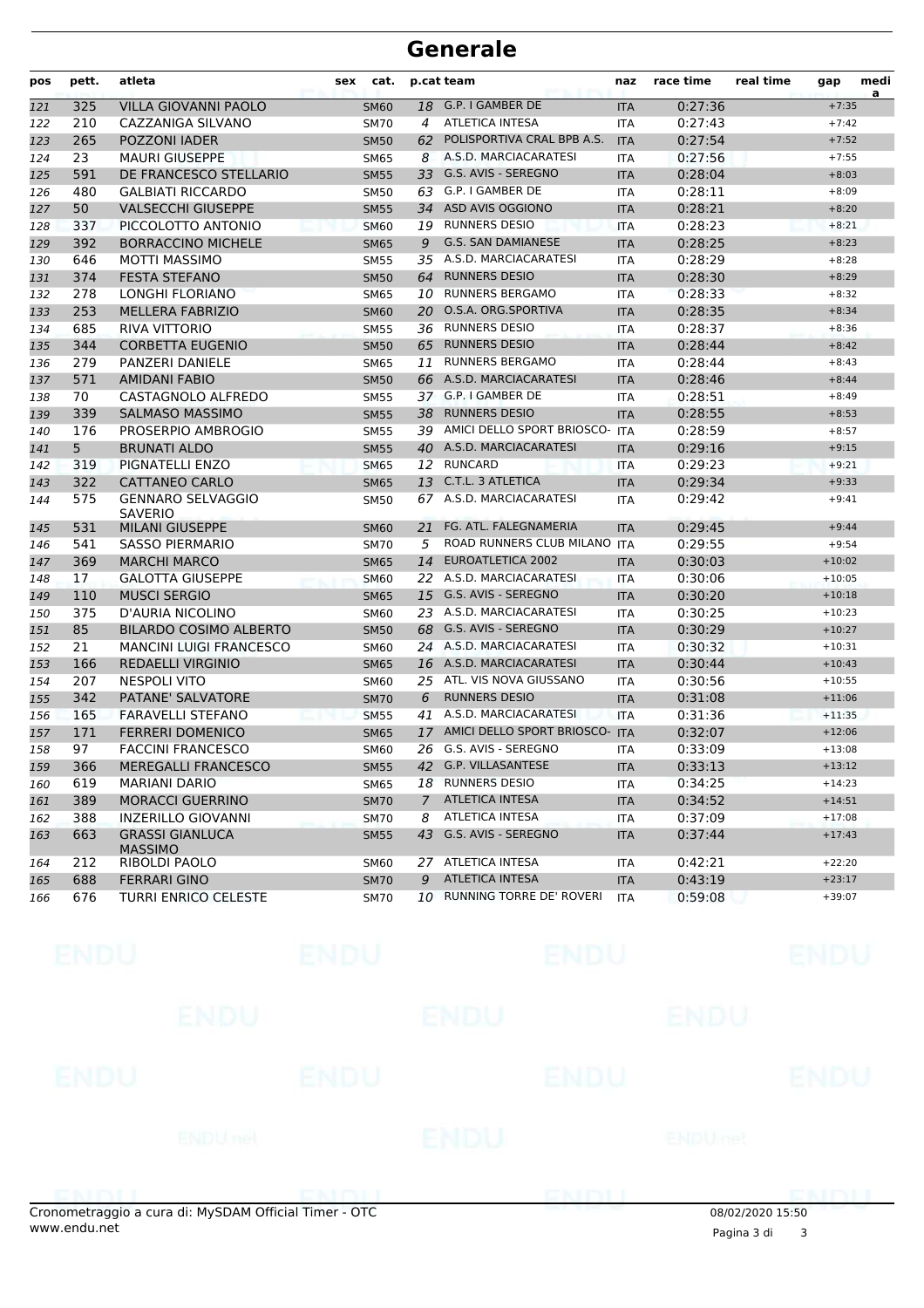| pos | pett. | atleta                                     | sex | cat.        |    | p.cat team                        | naz        | race time | real time | gap      | medi<br>a |
|-----|-------|--------------------------------------------|-----|-------------|----|-----------------------------------|------------|-----------|-----------|----------|-----------|
| 121 | 325   | VILLA GIOVANNI PAOLO                       |     | <b>SM60</b> |    | 18 G.P. I GAMBER DE               | <b>ITA</b> | 0:27:36   |           | $+7:35$  |           |
| 122 | 210   | CAZZANIGA SILVANO                          |     | <b>SM70</b> | 4  | <b>ATLETICA INTESA</b>            | ITA        | 0:27:43   |           | $+7:42$  |           |
| 123 | 265   | POZZONI IADER                              |     | <b>SM50</b> |    | 62 POLISPORTIVA CRAL BPB A.S.     | <b>ITA</b> | 0:27:54   |           | $+7:52$  |           |
| 124 | 23    | <b>MAURI GIUSEPPE</b>                      |     | <b>SM65</b> | 8  | A.S.D. MARCIACARATESI             | <b>ITA</b> | 0:27:56   |           | $+7:55$  |           |
| 125 | 591   | DE FRANCESCO STELLARIO                     |     | <b>SM55</b> | 33 | G.S. AVIS - SEREGNO               | <b>ITA</b> | 0:28:04   |           | $+8:03$  |           |
| 126 | 480   | <b>GALBIATI RICCARDO</b>                   |     | SM50        |    | 63 G.P. I GAMBER DE               | <b>ITA</b> | 0:28:11   |           | $+8:09$  |           |
| 127 | 50    | <b>VALSECCHI GIUSEPPE</b>                  |     | <b>SM55</b> | 34 | ASD AVIS OGGIONO                  | <b>ITA</b> | 0:28:21   |           | $+8:20$  |           |
| 128 | 337   | PICCOLOTTO ANTONIO                         |     | <b>SM60</b> |    | 19 RUNNERS DESIO                  | <b>ITA</b> | 0:28:23   |           | $+8:21$  |           |
| 129 | 392   | <b>BORRACCINO MICHELE</b>                  |     | <b>SM65</b> | 9  | <b>G.S. SAN DAMIANESE</b>         | <b>ITA</b> | 0:28:25   |           | $+8:23$  |           |
| 130 | 646   | <b>MOTTI MASSIMO</b>                       |     | <b>SM55</b> |    | 35 A.S.D. MARCIACARATESI          | <b>ITA</b> | 0:28:29   |           | $+8:28$  |           |
| 131 | 374   | <b>FESTA STEFANO</b>                       |     | <b>SM50</b> | 64 | <b>RUNNERS DESIO</b>              | <b>ITA</b> | 0:28:30   |           | $+8:29$  |           |
| 132 | 278   | LONGHI FLORIANO                            |     | <b>SM65</b> |    | 10 RUNNERS BERGAMO                | <b>ITA</b> | 0:28:33   |           | $+8:32$  |           |
| 133 | 253   | <b>MELLERA FABRIZIO</b>                    |     | <b>SM60</b> | 20 | O.S.A. ORG.SPORTIVA               | <b>ITA</b> | 0:28:35   |           | $+8:34$  |           |
| 134 | 685   | RIVA VITTORIO                              |     | <b>SM55</b> |    | 36 RUNNERS DESIO                  | <b>ITA</b> | 0:28:37   |           | $+8:36$  |           |
| 135 | 344   | <b>CORBETTA EUGENIO</b>                    |     | <b>SM50</b> |    | 65 RUNNERS DESIO                  | <b>ITA</b> | 0:28:44   |           | $+8:42$  |           |
| 136 | 279   | PANZERI DANIELE                            |     | <b>SM65</b> | 11 | <b>RUNNERS BERGAMO</b>            | <b>ITA</b> | 0:28:44   |           | $+8:43$  |           |
| 137 | 571   | <b>AMIDANI FABIO</b>                       |     | <b>SM50</b> |    | 66 A.S.D. MARCIACARATESI          | <b>ITA</b> | 0:28:46   |           | $+8:44$  |           |
| 138 | 70    | CASTAGNOLO ALFREDO                         |     | <b>SM55</b> |    | 37 G.P. I GAMBER DE               | <b>ITA</b> | 0:28:51   |           | $+8:49$  |           |
| 139 | 339   | <b>SALMASO MASSIMO</b>                     |     | <b>SM55</b> | 38 | <b>RUNNERS DESIO</b>              | <b>ITA</b> | 0:28:55   |           | $+8:53$  |           |
| 140 | 176   | PROSERPIO AMBROGIO                         |     | <b>SM55</b> |    | 39 AMICI DELLO SPORT BRIOSCO- ITA |            | 0:28:59   |           | $+8:57$  |           |
| 141 | 5     | <b>BRUNATI ALDO</b>                        |     | <b>SM55</b> |    | 40 A.S.D. MARCIACARATESI          | <b>ITA</b> | 0:29:16   |           | $+9:15$  |           |
| 142 | 319   | PIGNATELLI ENZO                            |     | <b>SM65</b> |    | 12 RUNCARD                        | <b>ITA</b> | 0:29:23   |           | $+9:21$  |           |
| 143 | 322   | <b>CATTANEO CARLO</b>                      |     | <b>SM65</b> | 13 | C.T.L. 3 ATLETICA                 | <b>ITA</b> | 0:29:34   |           | $+9:33$  |           |
| 144 | 575   | <b>GENNARO SELVAGGIO</b><br><b>SAVERIO</b> |     | <b>SM50</b> |    | 67 A.S.D. MARCIACARATESI          | <b>ITA</b> | 0:29:42   |           | $+9:41$  |           |
| 145 | 531   | <b>MILANI GIUSEPPE</b>                     |     | <b>SM60</b> | 21 | FG. ATL. FALEGNAMERIA             | <b>ITA</b> | 0:29:45   |           | $+9:44$  |           |
| 146 | 541   | <b>SASSO PIERMARIO</b>                     |     | <b>SM70</b> | 5  | ROAD RUNNERS CLUB MILANO          | <b>ITA</b> | 0:29:55   |           | $+9:54$  |           |
| 147 | 369   | <b>MARCHI MARCO</b>                        |     | <b>SM65</b> | 14 | <b>EUROATLETICA 2002</b>          | <b>ITA</b> | 0:30:03   |           | $+10:02$ |           |
| 148 | 17    | <b>GALOTTA GIUSEPPE</b>                    |     | <b>SM60</b> |    | 22 A.S.D. MARCIACARATESI          | ITA        | 0:30:06   |           | $+10:05$ |           |
| 149 | 110   | <b>MUSCI SERGIO</b>                        |     | <b>SM65</b> |    | 15 G.S. AVIS - SEREGNO            | <b>ITA</b> | 0:30:20   |           | $+10:18$ |           |
| 150 | 375   | D'AURIA NICOLINO                           |     | <b>SM60</b> |    | 23 A.S.D. MARCIACARATESI          | ITA        | 0:30:25   |           | $+10:23$ |           |
| 151 | 85    | <b>BILARDO COSIMO ALBERTO</b>              |     | <b>SM50</b> |    | 68 G.S. AVIS - SEREGNO            | <b>ITA</b> | 0:30:29   |           | $+10:27$ |           |
| 152 | 21    | <b>MANCINI LUIGI FRANCESCO</b>             |     | <b>SM60</b> |    | 24 A.S.D. MARCIACARATESI          | <b>ITA</b> | 0:30:32   |           | $+10:31$ |           |
| 153 | 166   | <b>REDAELLI VIRGINIO</b>                   |     | <b>SM65</b> |    | 16 A.S.D. MARCIACARATESI          | <b>ITA</b> | 0:30:44   |           | $+10:43$ |           |
| 154 | 207   | <b>NESPOLI VITO</b>                        |     | <b>SM60</b> |    | 25 ATL. VIS NOVA GIUSSANO         | <b>ITA</b> | 0:30:56   |           | $+10:55$ |           |
| 155 | 342   | PATANE' SALVATORE                          |     | <b>SM70</b> | 6  | <b>RUNNERS DESIO</b>              | <b>ITA</b> | 0:31:08   |           | $+11:06$ |           |
| 156 | 165   | <b>FARAVELLI STEFANO</b>                   |     | <b>SM55</b> | 41 | A.S.D. MARCIACARATESI             | <b>ITA</b> | 0:31:36   |           | $+11:35$ |           |
| 157 | 171   | <b>FERRERI DOMENICO</b>                    |     | <b>SM65</b> | 17 | AMICI DELLO SPORT BRIOSCO-        | <b>ITA</b> | 0:32:07   |           | $+12:06$ |           |
| 158 | 97    | <b>FACCINI FRANCESCO</b>                   |     | SM60        |    | 26 G.S. AVIS - SEREGNO            | <b>ITA</b> | 0:33:09   |           | $+13:08$ |           |
| 159 | 366   | MEREGALLI FRANCESCO                        |     | SM55        |    | 42 G.P. VILLASANTESE              | <b>ITA</b> | 0:33:13   |           | $+13:12$ |           |
| 160 | 619   | MARIANI DARIO                              |     | <b>SM65</b> |    | 18 RUNNERS DESIO                  | ITA        | 0:34:25   |           | $+14:23$ |           |
| 161 | 389   | <b>MORACCI GUERRINO</b>                    |     | <b>SM70</b> |    | 7 ATLETICA INTESA                 | <b>ITA</b> | 0:34:52   |           | $+14:51$ |           |
| 162 | 388   | INZERILLO GIOVANNI                         |     | <b>SM70</b> | 8  | <b>ATLETICA INTESA</b>            | <b>ITA</b> | 0:37:09   |           | $+17:08$ |           |
| 163 | 663   | <b>GRASSI GIANLUCA</b><br><b>MASSIMO</b>   |     | <b>SM55</b> |    | 43 G.S. AVIS - SEREGNO            | <b>ITA</b> | 0:37:44   |           | $+17:43$ |           |
| 164 | 212   | RIBOLDI PAOLO                              |     | <b>SM60</b> |    | 27 ATLETICA INTESA                | ITA        | 0:42:21   |           | $+22:20$ |           |
| 165 | 688   | <b>FERRARI GINO</b>                        |     | <b>SM70</b> | 9  | ATLETICA INTESA                   | <b>ITA</b> | 0:43:19   |           | $+23:17$ |           |
| 166 | 676   | <b>TURRI ENRICO CELESTE</b>                |     | <b>SM70</b> |    | 10 RUNNING TORRE DE' ROVERI       | <b>ITA</b> | 0:59:08   |           | $+39:07$ |           |

| ENDU        |                                                | <b>ENDU</b> |                                                            | <b>ENDU</b>    |                                   | <b>ENDU</b>              |
|-------------|------------------------------------------------|-------------|------------------------------------------------------------|----------------|-----------------------------------|--------------------------|
|             | <b>ENDU</b>                                    |             | ENDU                                                       | ENDU           |                                   |                          |
| <b>ENDU</b> |                                                |             | ENDU                                                       | <b>ENDU</b>    |                                   | <b>ENDU</b>              |
|             | ENDU <sub>net</sub>                            |             | <b>ENDU</b>                                                | <b>ENDUmet</b> |                                   |                          |
|             | <b>POINT PATT AND ARRANGEMENT COMMUNISTICS</b> |             | <b>THE R. P. LEWIS CO., LANSING MICH. 49-14039-1-120-2</b> |                | <b>THE ROLLEY CONTROL CONTROL</b> | <b><i>CONTRACTOR</i></b> |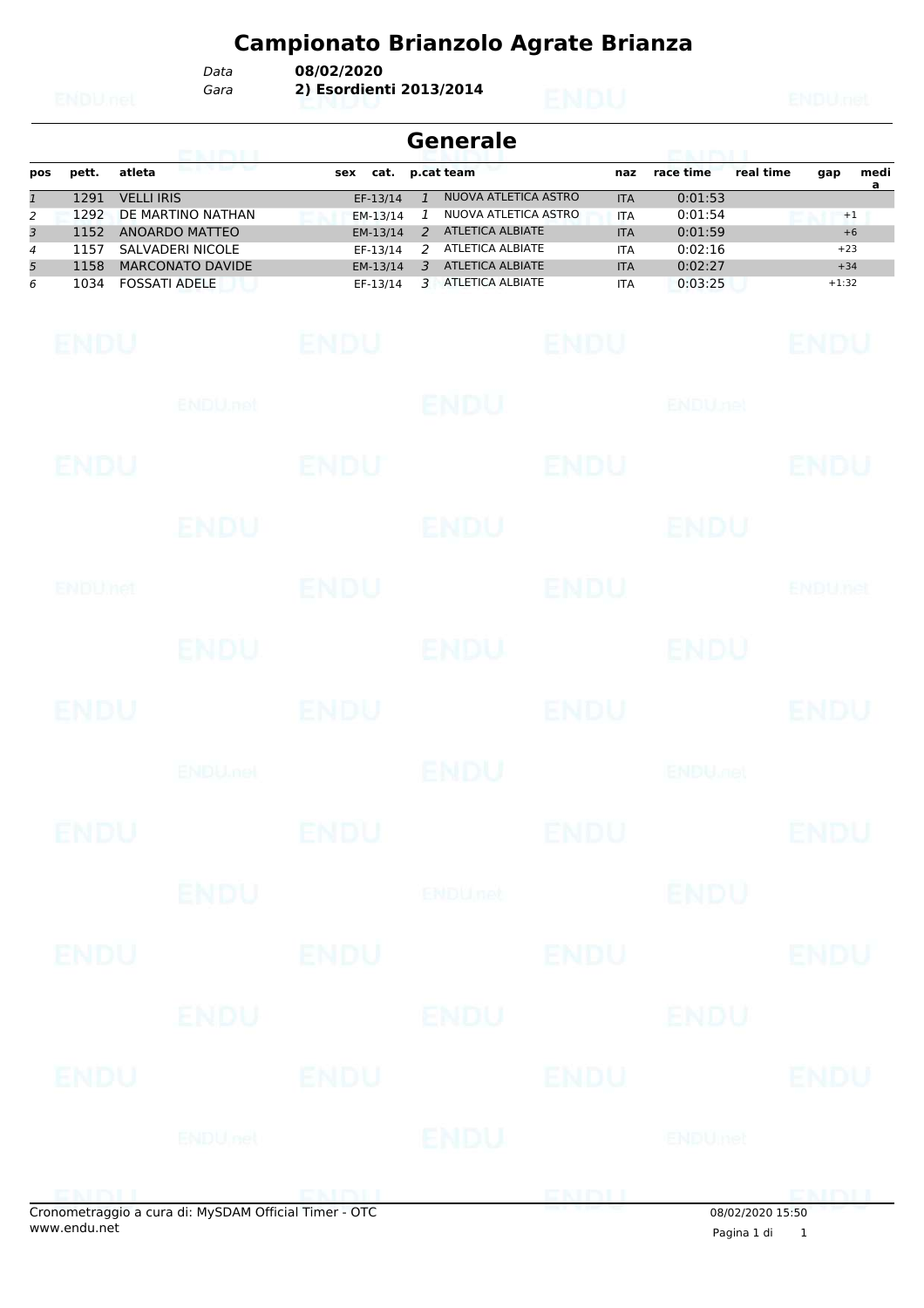*Gara* **2) Esordienti 2013/2014** *Data* **08/02/2020**

|     | Generale<br>green and an amount of the |                         |             |                          |                         |  |            |           |           |         |           |  |
|-----|----------------------------------------|-------------------------|-------------|--------------------------|-------------------------|--|------------|-----------|-----------|---------|-----------|--|
| pos | pett.                                  | atleta                  | cat.<br>sex |                          | p.cat team              |  | naz        | race time | real time | gap     | medi<br>a |  |
|     | 1291                                   | <b>VELLI IRIS</b>       | EF-13/14    |                          | NUOVA ATLETICA ASTRO    |  | <b>ITA</b> | 0:01:53   |           |         |           |  |
| 2   | 1292                                   | DE MARTINO NATHAN       | EM-13/14    |                          | NUOVA ATLETICA ASTRO    |  | <b>ITA</b> | 0:01:54   |           | $+1$    |           |  |
| 3   | 1152                                   | ANOARDO MATTEO          | EM-13/14    | $\overline{\phantom{a}}$ | ATLETICA ALBIATE        |  | <b>ITA</b> | 0:01:59   |           | $+6$    |           |  |
| 4   | 1157                                   | SALVADERI NICOLE        | EF-13/14    |                          | ATLETICA ALBIATE        |  | <b>ITA</b> | 0:02:16   |           | $+23$   |           |  |
| 5   | 1158                                   | <b>MARCONATO DAVIDE</b> | EM-13/14    | 3                        | <b>ATLETICA ALBIATE</b> |  | <b>ITA</b> | 0:02:27   |           | $+34$   |           |  |
| 6   | 1034                                   | <b>FOSSATI ADELE</b>    | EF-13/14    |                          | ATLETICA ALBIATE        |  | <b>ITA</b> | 0:03:25   |           | $+1:32$ |           |  |

| <b>ENDU</b>    |                                                     | ENDU        |                | <b>ENDU</b> |                           | <b>ENDU</b>    |
|----------------|-----------------------------------------------------|-------------|----------------|-------------|---------------------------|----------------|
|                | ENDU.net                                            |             | <b>ENDU</b>    |             | <b>ENDUnet</b>            |                |
| ENDU           |                                                     | <b>ENDU</b> |                | <b>ENDU</b> |                           | <b>ENDU</b>    |
|                | ENDU                                                |             | <b>ENDU</b>    |             | <b>ENDU</b>               |                |
| <b>ENDUMet</b> |                                                     | <b>ENDU</b> |                | <b>ENDU</b> |                           | <b>ENDUnet</b> |
|                | <b>ENDU</b>                                         |             | ENDU           |             | <b>ENDU</b>               |                |
| <b>ENDU</b>    |                                                     | <b>ENDU</b> |                | <b>ENDU</b> |                           | <b>ENDU</b>    |
|                | <b>ENDU<sub>met</sub></b>                           |             | ENDU           |             | <b>ENDU<sub>DEL</sub></b> |                |
| <b>ENDU</b>    |                                                     | <b>ENDU</b> |                | <b>ENDU</b> |                           | <b>ENDU</b>    |
|                | ENDU                                                |             | <b>ENDUnet</b> |             | <b>ENDU</b>               |                |
| <b>ENDU</b>    |                                                     | <b>ENDU</b> |                | <b>ENDU</b> |                           | <b>ENDU</b>    |
|                | ENDU                                                |             | <b>ENDU</b>    |             | ENDU                      |                |
| ENDU           |                                                     | <b>ENDU</b> |                | <b>ENDU</b> |                           | <b>ENDU</b>    |
|                | <b>ENDUnet</b>                                      |             | <b>ENDU</b>    |             | ENDUmet                   |                |
| ENIBUL         | onometraggio a cura di: MySDAM Official Timer - OTC |             |                | ENDIJ       | 08/02/2020 15:50          |                |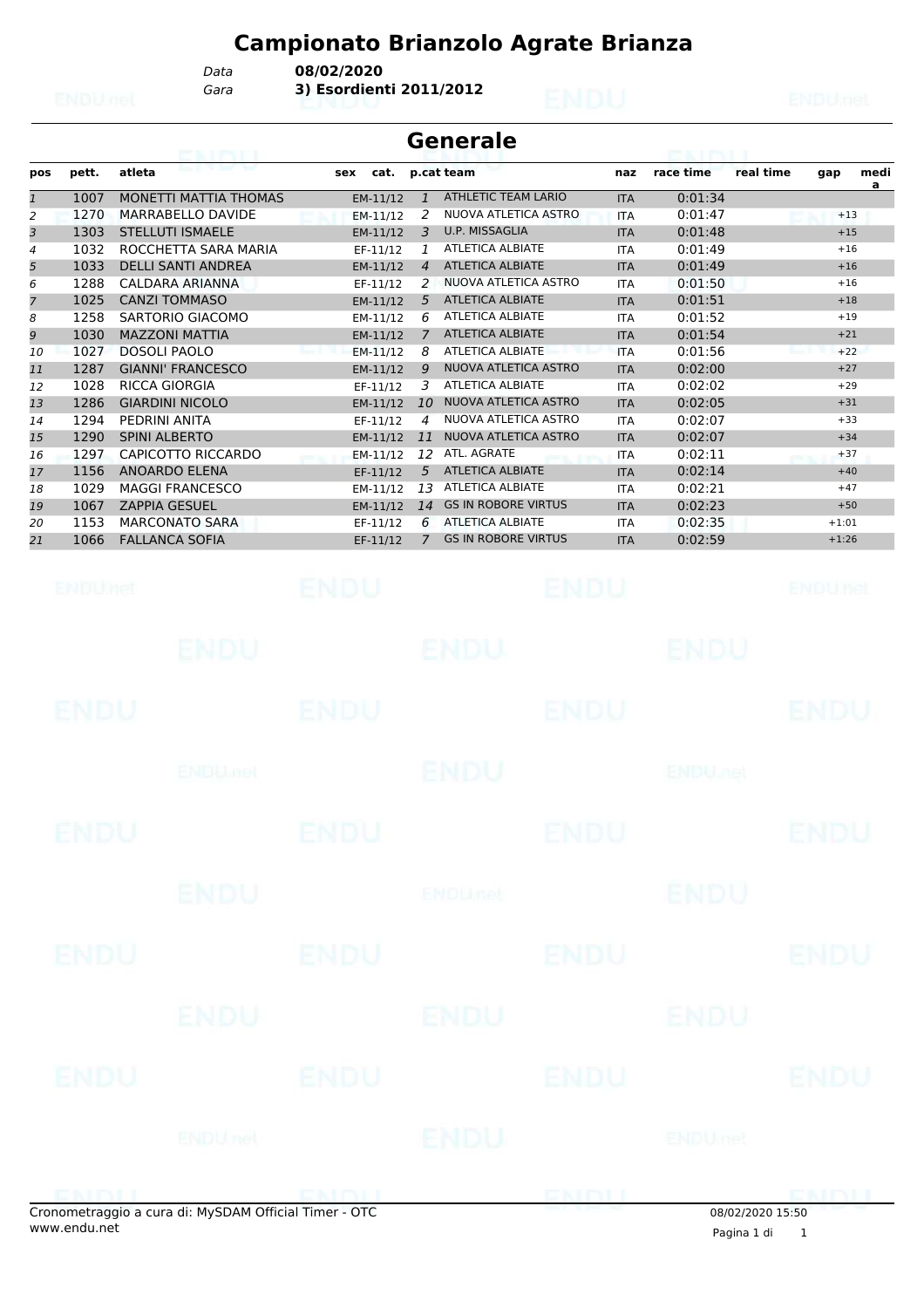*Gara* **3) Esordienti 2011/2012** *Data* **08/02/2020**

|              |              | 396 HENRI I                                  |                      |                | <b>Generale</b>                                 |                          | <b>ETAL LITALITI</b>      |           |             |                |
|--------------|--------------|----------------------------------------------|----------------------|----------------|-------------------------------------------------|--------------------------|---------------------------|-----------|-------------|----------------|
| pos          | pett.        | atleta                                       | cat.<br>sex          |                | p.cat team                                      | naz                      | race time                 | real time | gap         | medi<br>a      |
| $\mathbf{1}$ | 1007         | MONETTI MATTIA THOMAS                        | EM-11/12             | $\mathbf{1}$   | <b>ATHLETIC TEAM LARIO</b>                      | <b>ITA</b>               | 0:01:34                   |           |             |                |
| 2            | 1270         | MARRABELLO DAVIDE                            | $EM-11/12$           | 2              | NUOVA ATLETICA ASTRO                            | <b>ITA</b>               | 0:01:47                   |           | $+13$       |                |
| 3            | 1303         | <b>STELLUTI ISMAELE</b>                      | EM-11/12             | 3              | U.P. MISSAGLIA                                  | <b>ITA</b>               | 0:01:48                   |           | $+15$       |                |
| 4            | 1032         | ROCCHETTA SARA MARIA                         | EF-11/12             | 1              | <b>ATLETICA ALBIATE</b>                         | <b>ITA</b>               | 0:01:49                   |           |             | $+16$          |
| 5            | 1033<br>1288 | <b>DELLI SANTI ANDREA</b><br>CALDARA ARIANNA | EM-11/12             | $\overline{4}$ | <b>ATLETICA ALBIATE</b><br>NUOVA ATLETICA ASTRO | <b>ITA</b>               | 0:01:49<br>0:01:50        |           |             | $+16$<br>$+16$ |
| 6<br>7       | 1025         | <b>CANZI TOMMASO</b>                         | EF-11/12<br>EM-11/12 | 2<br>5         | <b>ATLETICA ALBIATE</b>                         | <b>ITA</b><br><b>ITA</b> | 0:01:51                   |           | $+18$       |                |
| 8            | 1258         | SARTORIO GIACOMO                             | EM-11/12             | 6              | <b>ATLETICA ALBIATE</b>                         | <b>ITA</b>               | 0:01:52                   |           | $+19$       |                |
| 9            | 1030         | <b>MAZZONI MATTIA</b>                        | EM-11/12             | $\overline{7}$ | <b>ATLETICA ALBIATE</b>                         | <b>ITA</b>               | 0:01:54                   |           | $+21$       |                |
| 10           | 1027         | <b>DOSOLI PAOLO</b>                          | EM-11/12             | 8              | <b>ATLETICA ALBIATE</b>                         | <b>ITA</b>               | 0:01:56                   |           |             | $+22$          |
| 11           | 1287         | <b>GIANNI' FRANCESCO</b>                     | EM-11/12             | 9              | NUOVA ATLETICA ASTRO                            | <b>ITA</b>               | 0:02:00                   |           | $+27$       |                |
| 12           | 1028         | <b>RICCA GIORGIA</b>                         | EF-11/12             | 3              | <b>ATLETICA ALBIATE</b>                         | <b>ITA</b>               | 0:02:02                   |           | $+29$       |                |
| 13           | 1286         | <b>GIARDINI NICOLO</b>                       | EM-11/12             | 10             | NUOVA ATLETICA ASTRO                            | <b>ITA</b>               | 0:02:05                   |           | $+31$       |                |
| 14           | 1294         | PEDRINI ANITA                                | EF-11/12             | 4              | NUOVA ATLETICA ASTRO                            | <b>ITA</b>               | 0:02:07                   |           | $+33$       |                |
| 15           | 1290         | <b>SPINI ALBERTO</b>                         | EM-11/12             | 11             | NUOVA ATLETICA ASTRO                            | <b>ITA</b>               | 0:02:07                   |           | $+34$       |                |
| 16           | 1297         | <b>CAPICOTTO RICCARDO</b>                    | EM-11/12             | 12             | ATL. AGRATE                                     | <b>ITA</b>               | 0:02:11                   |           |             | $+37$          |
| 17           | 1156         | <b>ANOARDO ELENA</b>                         | EF-11/12             | 5              | <b>ATLETICA ALBIATE</b>                         | <b>ITA</b>               | 0:02:14                   |           |             | $+40$          |
| 18           | 1029         | <b>MAGGI FRANCESCO</b>                       | EM-11/12             | 13             | <b>ATLETICA ALBIATE</b>                         | <b>ITA</b>               | 0:02:21                   |           | $+47$       |                |
| 19           | 1067         | <b>ZAPPIA GESUEL</b>                         | EM-11/12             | 14             | <b>GS IN ROBORE VIRTUS</b>                      | <b>ITA</b>               | 0:02:23                   |           |             | $+50$          |
| 20           | 1153         | <b>MARCONATO SARA</b>                        | EF-11/12             | 6              | <b>ATLETICA ALBIATE</b>                         | <b>ITA</b>               | 0:02:35                   |           | $+1:01$     |                |
| 21           | 1066         | <b>FALLANCA SOFIA</b>                        | EF-11/12             | $\overline{7}$ | <b>GS IN ROBORE VIRTUS</b>                      | <b>ITA</b>               | 0:02:59                   |           | $+1:26$     |                |
|              | ENDUMet      |                                              | <b>ENDU</b>          |                |                                                 | ENDU                     |                           |           | ENDUnet     |                |
|              |              | ENDU                                         |                      |                | ENDU                                            |                          | ENDU                      |           |             |                |
|              | ENDU         |                                              | ENDU                 |                |                                                 | ENDU                     |                           |           | ENDU        |                |
|              |              | <b>ENDU<sub>net</sub></b>                    |                      |                | ENDU                                            |                          | <b>ENDU<sub>met</sub></b> |           |             |                |
|              | ENDU         |                                              | ENDU                 |                |                                                 | ENDU                     |                           |           | ENDU        |                |
|              |              | <b>ENDU</b>                                  |                      |                | <b>ENDU<sub>net</sub></b>                       |                          | <b>ENDU</b>               |           |             |                |
|              | <b>ENDU</b>  |                                              | <b>ENDU</b>          |                |                                                 | <b>ENDU</b>              |                           |           | ENDU        |                |
|              |              | ENDU                                         |                      |                | ENDU                                            |                          | ENDU                      |           |             |                |
|              | ENDU         |                                              | <b>ENDU</b>          |                |                                                 | <b>ENDU</b>              |                           |           | <b>ENDU</b> |                |
|              |              | <b>ENDUnet</b>                               |                      |                | ENDU                                            |                          | ENDUmet                   |           |             |                |
|              |              |                                              |                      |                |                                                 |                          |                           |           |             |                |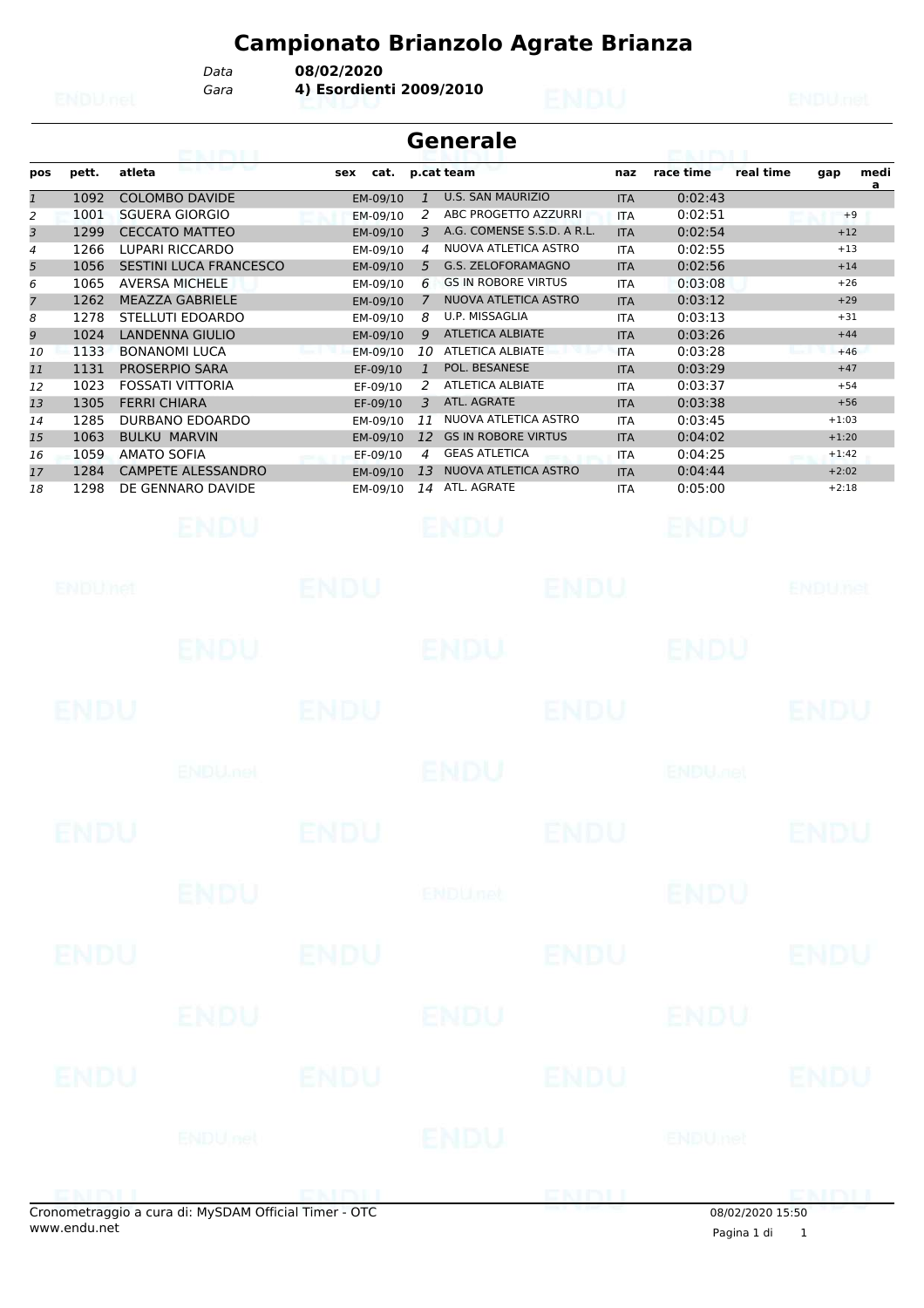*Gara* **4) Esordienti 2009/2010** *Data* **08/02/2020**

| <b>Generale</b><br><b>CONTRACTOR</b> |       |                           |     |          |              |                            |            |           |           |         |           |  |
|--------------------------------------|-------|---------------------------|-----|----------|--------------|----------------------------|------------|-----------|-----------|---------|-----------|--|
| pos                                  | pett. | atleta                    | sex | cat.     |              | p.cat team                 | naz        | race time | real time | gap     | medi<br>a |  |
| $\mathbf{1}$                         | 1092  | <b>COLOMBO DAVIDE</b>     |     | EM-09/10 | $\mathbf{1}$ | <b>U.S. SAN MAURIZIO</b>   | <b>ITA</b> | 0:02:43   |           |         |           |  |
| 2                                    | 1001  | <b>SGUERA GIORGIO</b>     |     | EM-09/10 | 2            | ABC PROGETTO AZZURRI       | <b>ITA</b> | 0:02:51   |           | $+9$    |           |  |
| 3                                    | 1299  | <b>CECCATO MATTEO</b>     |     | EM-09/10 | 3            | A.G. COMENSE S.S.D. A R.L. | <b>ITA</b> | 0:02:54   |           | $+12$   |           |  |
| 4                                    | 1266  | <b>LUPARI RICCARDO</b>    |     | EM-09/10 | 4            | NUOVA ATLETICA ASTRO       | <b>ITA</b> | 0:02:55   |           | $+13$   |           |  |
| 5                                    | 1056  | SESTINI LUCA FRANCESCO    |     | EM-09/10 | 5            | G.S. ZELOFORAMAGNO         | <b>ITA</b> | 0:02:56   |           | $+14$   |           |  |
| 6                                    | 1065  | <b>AVERSA MICHELE</b>     |     | EM-09/10 | 6            | <b>GS IN ROBORE VIRTUS</b> | <b>ITA</b> | 0:03:08   |           | $+26$   |           |  |
| 7                                    | 1262  | <b>MEAZZA GABRIELE</b>    |     | EM-09/10 | 7            | NUOVA ATLETICA ASTRO       | <b>ITA</b> | 0:03:12   |           | $+29$   |           |  |
| 8                                    | 1278  | STELLUTI EDOARDO          |     | EM-09/10 | 8            | U.P. MISSAGLIA             | <b>ITA</b> | 0:03:13   |           | $+31$   |           |  |
| 9                                    | 1024  | <b>LANDENNA GIULIO</b>    |     | EM-09/10 | 9            | <b>ATLETICA ALBIATE</b>    | <b>ITA</b> | 0:03:26   |           | $+44$   |           |  |
| 10                                   | 1133  | <b>BONANOMI LUCA</b>      |     | EM-09/10 | 10           | <b>ATLETICA ALBIATE</b>    | <b>ITA</b> | 0:03:28   |           | $+46$   |           |  |
| 11                                   | 1131  | PROSERPIO SARA            |     | EF-09/10 | 1            | POL. BESANESE              | <b>ITA</b> | 0:03:29   |           | $+47$   |           |  |
| 12                                   | 1023  | <b>FOSSATI VITTORIA</b>   |     | EF-09/10 | 2            | <b>ATLETICA ALBIATE</b>    | <b>ITA</b> | 0:03:37   |           | $+54$   |           |  |
| 13                                   | 1305  | <b>FERRI CHIARA</b>       |     | EF-09/10 | 3            | ATL. AGRATE                | <b>ITA</b> | 0:03:38   |           | $+56$   |           |  |
| 14                                   | 1285  | <b>DURBANO EDOARDO</b>    |     | EM-09/10 | 11           | NUOVA ATLETICA ASTRO       | <b>ITA</b> | 0:03:45   |           | $+1:03$ |           |  |
| 15                                   | 1063  | <b>BULKU MARVIN</b>       |     | EM-09/10 | 12           | <b>GS IN ROBORE VIRTUS</b> | <b>ITA</b> | 0:04:02   |           | $+1:20$ |           |  |
| 16                                   | 1059  | <b>AMATO SOFIA</b>        |     | EF-09/10 | 4            | <b>GEAS ATLETICA</b>       | ITA        | 0:04:25   |           | $+1:42$ |           |  |
| 17                                   | 1284  | <b>CAMPETE ALESSANDRO</b> |     | EM-09/10 | 13           | NUOVA ATLETICA ASTRO       | <b>ITA</b> | 0:04:44   |           | $+2:02$ |           |  |
| 18                                   | 1298  | DE GENNARO DAVIDE         |     | EM-09/10 | 14           | ATL. AGRATE                | <b>ITA</b> | 0:05:00   |           | $+2:18$ |           |  |
|                                      |       | ENDW                      |     |          |              |                            |            |           |           |         |           |  |
|                                      |       |                           |     |          |              |                            |            |           |           |         |           |  |

|             | <b>ENDU</b>                                         |             | <b>ENDU</b>    |             | ENDU                       |                 |
|-------------|-----------------------------------------------------|-------------|----------------|-------------|----------------------------|-----------------|
| <b>ENDU</b> |                                                     | <b>ENDU</b> |                | <b>ENDU</b> |                            | <b>ENDU</b>     |
|             | <b>ENDUMBL</b>                                      |             | <b>ENDU</b>    |             | <b>ENDU<sub>ndet</sub></b> |                 |
| <b>ENDU</b> |                                                     | <b>ENDU</b> |                | <b>ENDU</b> |                            | <b>ENDU</b>     |
|             | <b>ENDU</b>                                         |             | <b>ENDUnet</b> |             | <b>ENDU</b>                |                 |
| ENDU        |                                                     | <b>ENDU</b> |                | <b>ENDU</b> |                            | <b>ENDU</b>     |
|             | <b>ENDU</b>                                         |             | ENDU           |             | ENDU                       |                 |
| ENDU        |                                                     | <b>ENDU</b> |                | <b>ENDU</b> |                            | <b>ENDU</b>     |
|             | <b>ENDUnet</b>                                      |             | ENDU           |             | ENDUmet                    |                 |
|             | anometranojn a cura di: MySDAM Official Timer - OTC |             |                | ENDL        | 08/02/2020 15:50           | <b>DISTINEL</b> |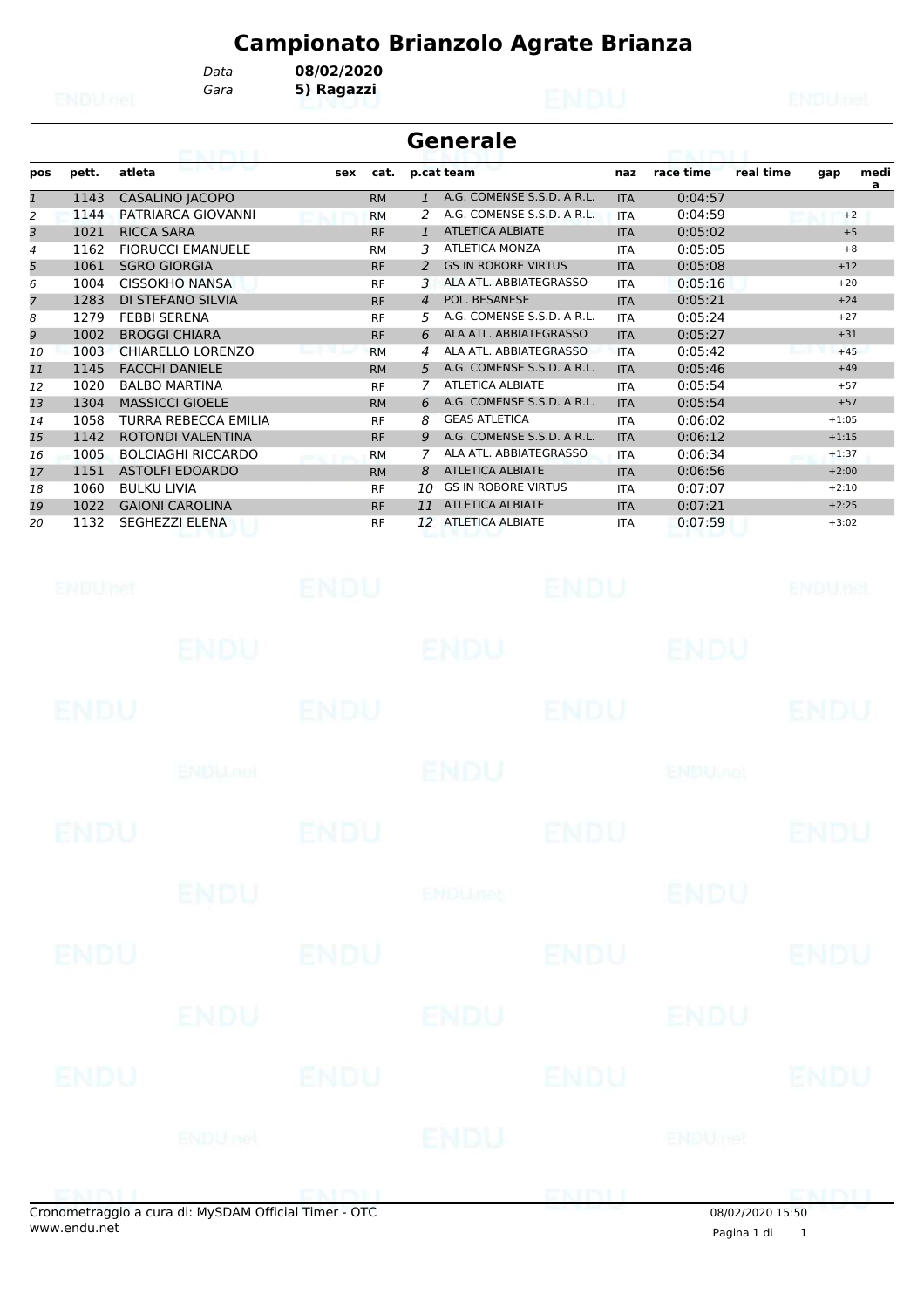*Gara* **5) Ragazzi** *Data* **08/02/2020**

|              | <b>Generale</b>        |                             |     |           |                |                            |            |           |           |         |           |
|--------------|------------------------|-----------------------------|-----|-----------|----------------|----------------------------|------------|-----------|-----------|---------|-----------|
| pos          | pett.                  | atleta                      | sex | cat.      |                | p.cat team                 | naz        | race time | real time | gap     | medi<br>a |
| $\mathbf{1}$ | 1143                   | <b>CASALINO JACOPO</b>      |     | <b>RM</b> | $\mathbf{1}$   | A.G. COMENSE S.S.D. A R.L. | <b>ITA</b> | 0:04:57   |           |         |           |
| 2            | 1144                   | PATRIARCA GIOVANNI          |     | <b>RM</b> | 2              | A.G. COMENSE S.S.D. A R.L. | <b>ITA</b> | 0:04:59   |           | $+2$    |           |
| 3            | 1021                   | <b>RICCA SARA</b>           |     | <b>RF</b> | 1              | <b>ATLETICA ALBIATE</b>    | <b>ITA</b> | 0:05:02   |           | $+5$    |           |
| 4            | 1162                   | <b>FIORUCCI EMANUELE</b>    |     | <b>RM</b> | 3              | <b>ATLETICA MONZA</b>      | <b>ITA</b> | 0:05:05   |           | $+8$    |           |
| 5            | 1061                   | <b>SGRO GIORGIA</b>         |     | <b>RF</b> | 2              | <b>GS IN ROBORE VIRTUS</b> | <b>ITA</b> | 0:05:08   |           | $+12$   |           |
| 6            | 1004                   | <b>CISSOKHO NANSA</b>       |     | <b>RF</b> | 3              | ALA ATL. ABBIATEGRASSO     | <b>ITA</b> | 0:05:16   |           | $+20$   |           |
| 7            | 1283                   | DI STEFANO SILVIA           |     | <b>RF</b> | $\overline{4}$ | POL. BESANESE              | <b>ITA</b> | 0:05:21   |           | $+24$   |           |
| 8            | 1279                   | <b>FEBBI SERENA</b>         |     | <b>RF</b> | 5.             | A.G. COMENSE S.S.D. A R.L. | <b>ITA</b> | 0:05:24   |           | $+27$   |           |
| 9            | 1002                   | <b>BROGGI CHIARA</b>        |     | <b>RF</b> | 6              | ALA ATL. ABBIATEGRASSO     | <b>ITA</b> | 0:05:27   |           | $+31$   |           |
| 10           | 1003                   | <b>CHIARELLO LORENZO</b>    |     | <b>RM</b> | 4              | ALA ATL. ABBIATEGRASSO     | <b>ITA</b> | 0:05:42   |           | $+45$   |           |
| 11           | 1145                   | <b>FACCHI DANIELE</b>       |     | <b>RM</b> | 5              | A.G. COMENSE S.S.D. A R.L. | <b>ITA</b> | 0:05:46   |           | $+49$   |           |
| 12           | 1020                   | <b>BALBO MARTINA</b>        |     | <b>RF</b> | 7              | <b>ATLETICA ALBIATE</b>    | <b>ITA</b> | 0:05:54   |           | $+57$   |           |
| 13           | 1304                   | <b>MASSICCI GIOELE</b>      |     | <b>RM</b> | 6              | A.G. COMENSE S.S.D. A R.L. | <b>ITA</b> | 0:05:54   |           | $+57$   |           |
| 14           | 1058                   | <b>TURRA REBECCA EMILIA</b> |     | <b>RF</b> | 8              | <b>GEAS ATLETICA</b>       | <b>ITA</b> | 0:06:02   |           | $+1:05$ |           |
| 15           | 1142                   | ROTONDI VALENTINA           |     | <b>RF</b> | 9              | A.G. COMENSE S.S.D. A R.L. | <b>ITA</b> | 0:06:12   |           | $+1:15$ |           |
| 16           | 1005                   | <b>BOLCIAGHI RICCARDO</b>   |     | <b>RM</b> | 7              | ALA ATL. ABBIATEGRASSO     | ITA        | 0:06:34   |           | $+1:37$ |           |
| 17           | 1151                   | <b>ASTOLFI EDOARDO</b>      |     | <b>RM</b> | 8              | <b>ATLETICA ALBIATE</b>    | <b>ITA</b> | 0:06:56   |           | $+2:00$ |           |
| 18           | 1060                   | <b>BULKU LIVIA</b>          |     | <b>RF</b> | 10             | <b>GS IN ROBORE VIRTUS</b> | <b>ITA</b> | 0:07:07   |           | $+2:10$ |           |
| 19           | 1022                   | <b>GAIONI CAROLINA</b>      |     | <b>RF</b> | 11             | <b>ATLETICA ALBIATE</b>    | <b>ITA</b> | 0:07:21   |           | $+2:25$ |           |
| 20           | 1132                   | <b>SEGHEZZI ELENA</b>       |     | <b>RF</b> | 12             | <b>ATLETICA ALBIATE</b>    | ITA        | 0:07:59   |           | $+3:02$ |           |
|              | <b>Call Till Hings</b> |                             |     |           |                |                            |            |           |           | ENMIRA  |           |

| ENDUMA      |                           | ENDU        |                           | endu        |                           | ENDUnet      |
|-------------|---------------------------|-------------|---------------------------|-------------|---------------------------|--------------|
|             | <b>ENDU</b>               |             | <b>ENDU</b>               |             | <b>ENDU</b>               |              |
| <b>ENDU</b> |                           | <b>ENDU</b> |                           | <b>ENDU</b> |                           | <b>ENDU</b>  |
|             | <b>ENDU<sub>met</sub></b> |             | ENDU                      |             | <b>ENDU<sub>net</sub></b> |              |
| <b>ENDU</b> |                           | <b>ENDU</b> |                           | <b>ENDU</b> |                           | <b>ENDU</b>  |
|             | ENDU                      |             | <b>ENDU<sub>net</sub></b> |             | <b>ENDU</b>               |              |
| <b>ENDU</b> |                           | <b>ENDU</b> |                           | <b>ENDU</b> |                           | <b>ENDU</b>  |
|             | <b>ENDU</b>               |             | ENDU                      |             | ENDU                      |              |
| ENDU        |                           | <b>ENDU</b> |                           | ENDU        |                           | <b>ENDU</b>  |
|             | <b>ENDUnet</b>            |             | <b>ENDU</b>               |             | ENDUmet                   |              |
| ENEMI       |                           | ENDIL       |                           | <b>ENDI</b> |                           | <b>EMBLI</b> |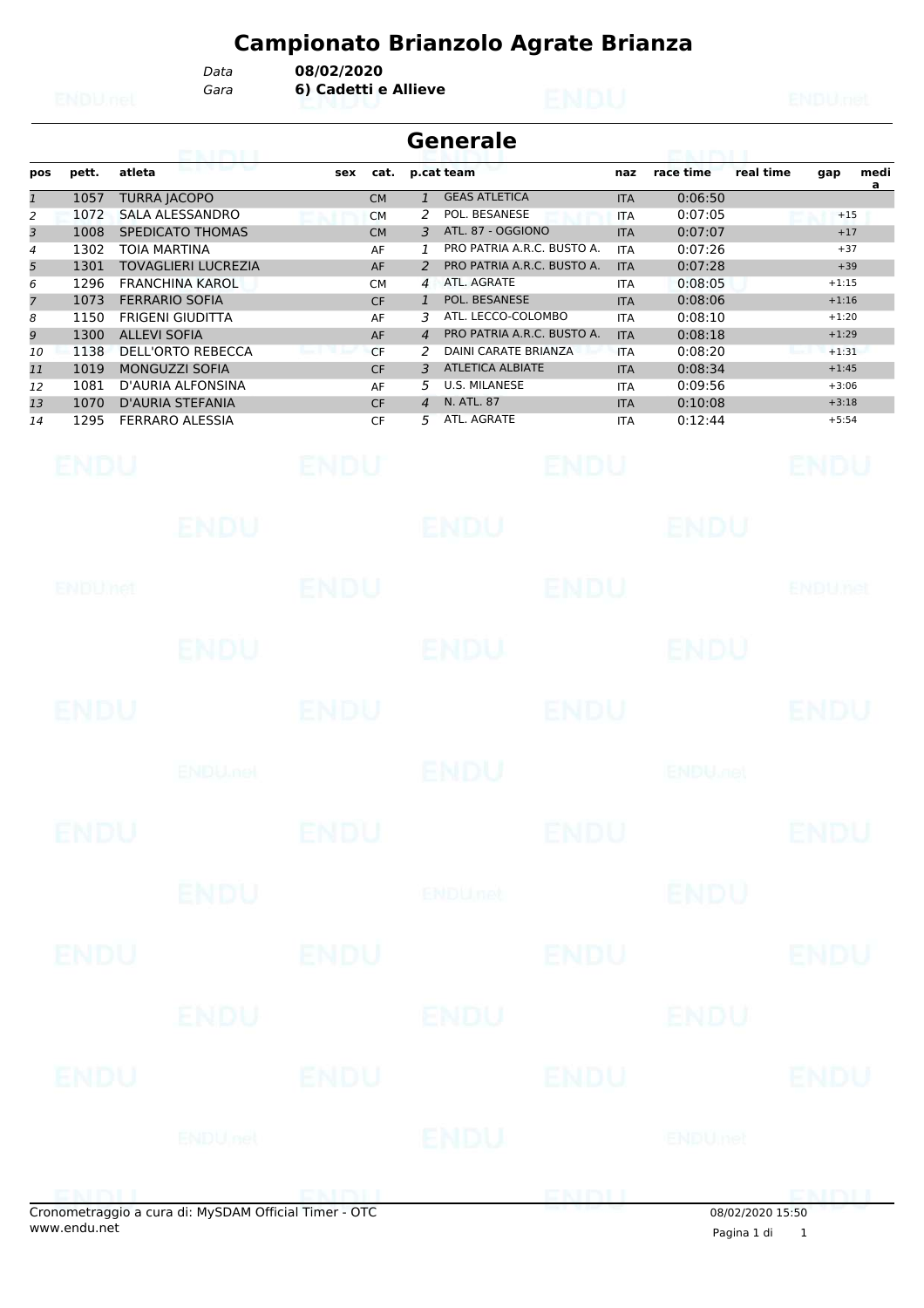*Data* **08/02/2020**

*Gara* **6) Cadetti e Allieve**

|                                                                                                 |                                                                                                              | <b>ETAN HENGELE</b>                                                                                                                                                                                                                                                                                                                                               |                                                                                                                                          | Generale                                                                                                                                                                                                                                                                                                                                                                                                                                                     |                                                                                                                                                                                                  | <b>PEACE PACE III</b>                                                                                                                                  |                                                                                                                                     |
|-------------------------------------------------------------------------------------------------|--------------------------------------------------------------------------------------------------------------|-------------------------------------------------------------------------------------------------------------------------------------------------------------------------------------------------------------------------------------------------------------------------------------------------------------------------------------------------------------------|------------------------------------------------------------------------------------------------------------------------------------------|--------------------------------------------------------------------------------------------------------------------------------------------------------------------------------------------------------------------------------------------------------------------------------------------------------------------------------------------------------------------------------------------------------------------------------------------------------------|--------------------------------------------------------------------------------------------------------------------------------------------------------------------------------------------------|--------------------------------------------------------------------------------------------------------------------------------------------------------|-------------------------------------------------------------------------------------------------------------------------------------|
| pos                                                                                             | pett.                                                                                                        | atleta                                                                                                                                                                                                                                                                                                                                                            | cat.<br>sex                                                                                                                              | p.cat team                                                                                                                                                                                                                                                                                                                                                                                                                                                   | naz                                                                                                                                                                                              | race time                                                                                                                                              | medi<br>real time<br>gap<br>a                                                                                                       |
| $\overline{\mathfrak{1}}$<br>2<br>3<br>4<br>5<br>6<br>7<br>8<br>9<br>10<br>11<br>12<br>13<br>14 | 1057<br>1072<br>1008<br>1302<br>1301<br>1296<br>1073<br>1150<br>1300<br>1138<br>1019<br>1081<br>1070<br>1295 | <b>TURRA JACOPO</b><br><b>SALA ALESSANDRO</b><br><b>SPEDICATO THOMAS</b><br><b>TOIA MARTINA</b><br><b>TOVAGLIERI LUCREZIA</b><br><b>FRANCHINA KAROL</b><br><b>FERRARIO SOFIA</b><br><b>FRIGENI GIUDITTA</b><br><b>ALLEVI SOFIA</b><br><b>DELL'ORTO REBECCA</b><br><b>MONGUZZI SOFIA</b><br>D'AURIA ALFONSINA<br><b>D'AURIA STEFANIA</b><br><b>FERRARO ALESSIA</b> | <b>CM</b><br><b>CM</b><br><b>CM</b><br>AF<br>AF<br><b>CM</b><br><b>CF</b><br>AF<br>AF<br><b>CF</b><br><b>CF</b><br>AF<br><b>CF</b><br>CF | <b>GEAS ATLETICA</b><br>$\mathbf{1}$<br>POL. BESANESE<br>2<br>ATL. 87 - OGGIONO<br>3<br>PRO PATRIA A.R.C. BUSTO A.<br>1<br>PRO PATRIA A.R.C. BUSTO A.<br>2<br>ATL. AGRATE<br>$\overline{4}$<br>POL. BESANESE<br>$\mathbf{1}$<br>ATL. LECCO-COLOMBO<br>3<br>PRO PATRIA A.R.C. BUSTO A.<br>$\overline{4}$<br><b>DAINI CARATE BRIANZA</b><br>2<br><b>ATLETICA ALBIATE</b><br>3<br><b>U.S. MILANESE</b><br>5<br>N. ATL. 87<br>$\overline{4}$<br>ATL. AGRATE<br>5 | <b>ITA</b><br><b>ITA</b><br><b>ITA</b><br><b>ITA</b><br><b>ITA</b><br><b>ITA</b><br><b>ITA</b><br><b>ITA</b><br><b>ITA</b><br><b>ITA</b><br><b>ITA</b><br><b>ITA</b><br><b>ITA</b><br><b>ITA</b> | 0:06:50<br>0:07:05<br>0:07:07<br>0:07:26<br>0:07:28<br>0:08:05<br>0:08:06<br>0:08:10<br>0:08:18<br>0:08:20<br>0:08:34<br>0:09:56<br>0:10:08<br>0:12:44 | $+15$<br>$+17$<br>$+37$<br>$+39$<br>$+1:15$<br>$+1:16$<br>$+1:20$<br>$+1:29$<br>$+1:31$<br>$+1:45$<br>$+3:06$<br>$+3:18$<br>$+5:54$ |
|                                                                                                 | ENDU                                                                                                         |                                                                                                                                                                                                                                                                                                                                                                   | ENDU                                                                                                                                     | ENDU                                                                                                                                                                                                                                                                                                                                                                                                                                                         |                                                                                                                                                                                                  |                                                                                                                                                        | ENDU                                                                                                                                |
|                                                                                                 |                                                                                                              | ENDU                                                                                                                                                                                                                                                                                                                                                              |                                                                                                                                          | <b>ENDU</b>                                                                                                                                                                                                                                                                                                                                                                                                                                                  |                                                                                                                                                                                                  | ENDU                                                                                                                                                   |                                                                                                                                     |
|                                                                                                 | ENDUMet                                                                                                      |                                                                                                                                                                                                                                                                                                                                                                   | <b>ENDU</b>                                                                                                                              | <b>ENDU</b>                                                                                                                                                                                                                                                                                                                                                                                                                                                  |                                                                                                                                                                                                  |                                                                                                                                                        | <b>ENDUTEL</b>                                                                                                                      |
|                                                                                                 |                                                                                                              | <b>ENDU</b>                                                                                                                                                                                                                                                                                                                                                       |                                                                                                                                          | ENDU                                                                                                                                                                                                                                                                                                                                                                                                                                                         |                                                                                                                                                                                                  | ENDU                                                                                                                                                   |                                                                                                                                     |
|                                                                                                 | ENDU                                                                                                         |                                                                                                                                                                                                                                                                                                                                                                   | ENDU                                                                                                                                     | <b>ENDU</b>                                                                                                                                                                                                                                                                                                                                                                                                                                                  |                                                                                                                                                                                                  |                                                                                                                                                        | ENDU                                                                                                                                |
|                                                                                                 |                                                                                                              | <b>ENDU<sub>met</sub></b>                                                                                                                                                                                                                                                                                                                                         |                                                                                                                                          | ENDU                                                                                                                                                                                                                                                                                                                                                                                                                                                         |                                                                                                                                                                                                  | <b>ENDU<sub>FIEL</sub></b>                                                                                                                             |                                                                                                                                     |
|                                                                                                 | ENDU                                                                                                         |                                                                                                                                                                                                                                                                                                                                                                   | <b>ENDU</b>                                                                                                                              | ENDU                                                                                                                                                                                                                                                                                                                                                                                                                                                         |                                                                                                                                                                                                  |                                                                                                                                                        | ENDU                                                                                                                                |
|                                                                                                 |                                                                                                              | <b>ENDU</b>                                                                                                                                                                                                                                                                                                                                                       |                                                                                                                                          | <b>ENDUnet</b>                                                                                                                                                                                                                                                                                                                                                                                                                                               |                                                                                                                                                                                                  | <b>ENDU</b>                                                                                                                                            |                                                                                                                                     |
|                                                                                                 | <b>ENDU</b>                                                                                                  |                                                                                                                                                                                                                                                                                                                                                                   | <b>ENDU</b>                                                                                                                              | <b>ENDU</b>                                                                                                                                                                                                                                                                                                                                                                                                                                                  |                                                                                                                                                                                                  |                                                                                                                                                        | <b>ENDU</b>                                                                                                                         |
|                                                                                                 |                                                                                                              | ENDU                                                                                                                                                                                                                                                                                                                                                              |                                                                                                                                          | ENDU                                                                                                                                                                                                                                                                                                                                                                                                                                                         |                                                                                                                                                                                                  | ENDU                                                                                                                                                   |                                                                                                                                     |
|                                                                                                 | <b>ENDU</b>                                                                                                  |                                                                                                                                                                                                                                                                                                                                                                   | <b>ENDU</b>                                                                                                                              | <b>ENDU</b>                                                                                                                                                                                                                                                                                                                                                                                                                                                  |                                                                                                                                                                                                  |                                                                                                                                                        | <b>ENDU</b>                                                                                                                         |
|                                                                                                 |                                                                                                              | <b>ENDUnet</b>                                                                                                                                                                                                                                                                                                                                                    |                                                                                                                                          | ENDU                                                                                                                                                                                                                                                                                                                                                                                                                                                         |                                                                                                                                                                                                  | <b>ENDUmet</b>                                                                                                                                         |                                                                                                                                     |
|                                                                                                 |                                                                                                              | ENBLI                                                                                                                                                                                                                                                                                                                                                             | ENDIJ                                                                                                                                    | ENDU                                                                                                                                                                                                                                                                                                                                                                                                                                                         |                                                                                                                                                                                                  |                                                                                                                                                        | ENDU                                                                                                                                |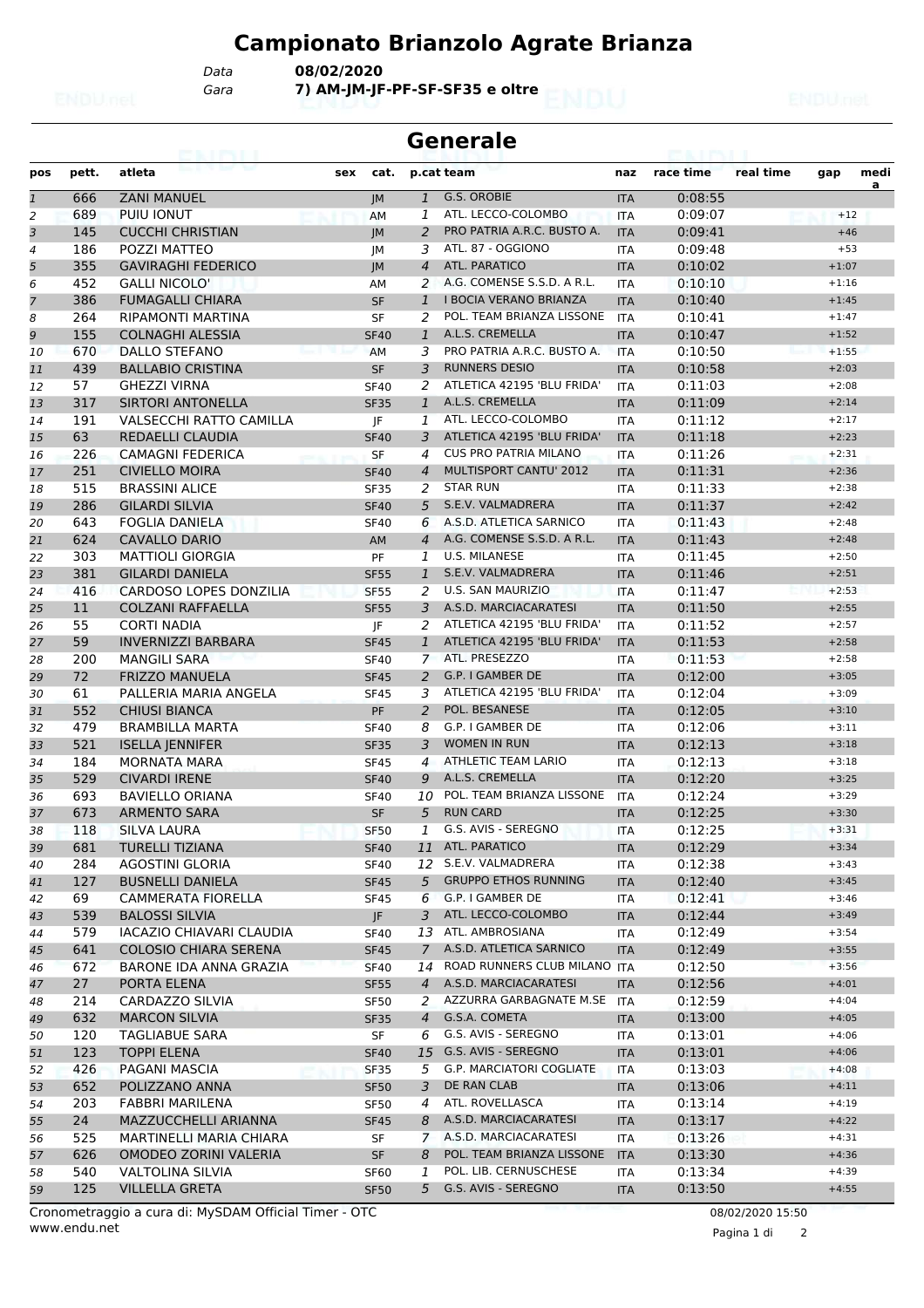*Gara* **7) AM-JM-JF-PF-SF-SF35 e oltre** *Data* **08/02/2020**

| <b>Generale</b> |       |                                 |     |                   |                |                                 |            |           |           |         |           |  |
|-----------------|-------|---------------------------------|-----|-------------------|----------------|---------------------------------|------------|-----------|-----------|---------|-----------|--|
| pos             | pett. | atleta                          | sex | cat.              |                | p.cat team                      | naz        | race time | real time | gap     | medi<br>a |  |
| $\mathbf{1}$    | 666   | <b>ZANI MANUEL</b>              |     | IM                | $\mathbf{1}$   | G.S. OROBIE                     | <b>ITA</b> | 0:08:55   |           |         |           |  |
| 2               | 689   | PUIU IONUT                      |     | <b>AM</b>         | 1              | ATL. LECCO-COLOMBO              | <b>ITA</b> | 0:09:07   |           | $+12$   |           |  |
| 3               | 145   | <b>CUCCHI CHRISTIAN</b>         |     | IM                | 2              | PRO PATRIA A.R.C. BUSTO A.      | <b>ITA</b> | 0:09:41   |           | $+46$   |           |  |
| 4               | 186   | POZZI MATTEO                    |     | JМ                | 3              | ATL, 87 - OGGIONO               | <b>ITA</b> | 0:09:48   |           | $+53$   |           |  |
| 5               | 355   | <b>GAVIRAGHI FEDERICO</b>       |     | IM                | $\overline{4}$ | ATL. PARATICO                   | <b>ITA</b> | 0:10:02   |           | $+1:07$ |           |  |
| 6               | 452   | <b>GALLI NICOLO'</b>            |     | AM                | 2              | A.G. COMENSE S.S.D. A R.L.      | <b>ITA</b> | 0:10:10   |           | $+1:16$ |           |  |
| 7               | 386   | <b>FUMAGALLI CHIARA</b>         |     | <b>SF</b>         | $\mathbf{1}$   | <b>I BOCIA VERANO BRIANZA</b>   | <b>ITA</b> | 0:10:40   |           | $+1:45$ |           |  |
| 8               | 264   | <b>RIPAMONTI MARTINA</b>        |     | <b>SF</b>         | 2              | POL. TEAM BRIANZA LISSONE       | <b>ITA</b> | 0:10:41   |           | $+1:47$ |           |  |
| 9               | 155   | COLNAGHI ALESSIA                |     | <b>SF40</b>       | $\mathbf{1}$   | A.L.S. CREMELLA                 | <b>ITA</b> | 0:10:47   |           | $+1:52$ |           |  |
| 10              | 670   | <b>DALLO STEFANO</b>            |     | AM                | 3              | PRO PATRIA A.R.C. BUSTO A.      | <b>ITA</b> | 0:10:50   |           | $+1:55$ |           |  |
| 11              | 439   | <b>BALLABIO CRISTINA</b>        |     | <b>SF</b>         | 3              | <b>RUNNERS DESIO</b>            | <b>ITA</b> | 0:10:58   |           | $+2:03$ |           |  |
| 12              | 57    | <b>GHEZZI VIRNA</b>             |     | <b>SF40</b>       | 2              | ATLETICA 42195 'BLU FRIDA'      | <b>ITA</b> | 0:11:03   |           | $+2:08$ |           |  |
| 13              | 317   | <b>SIRTORI ANTONELLA</b>        |     | <b>SF35</b>       | 1              | A.L.S. CREMELLA                 | <b>ITA</b> | 0:11:09   |           | $+2:14$ |           |  |
| 14              | 191   | <b>VALSECCHI RATTO CAMILLA</b>  |     | IF                | 1              | ATL. LECCO-COLOMBO              | <b>ITA</b> | 0:11:12   |           | $+2:17$ |           |  |
| 15              | 63    | REDAELLI CLAUDIA                |     | <b>SF40</b>       | 3              | ATLETICA 42195 'BLU FRIDA'      | <b>ITA</b> | 0:11:18   |           | $+2:23$ |           |  |
| 16              | 226   | <b>CAMAGNI FEDERICA</b>         |     | <b>SF</b>         | 4              | <b>CUS PRO PATRIA MILANO</b>    | <b>ITA</b> | 0:11:26   |           | $+2:31$ |           |  |
| 17              | 251   | <b>CIVIELLO MOIRA</b>           |     | <b>SF40</b>       | $\overline{4}$ | <b>MULTISPORT CANTU' 2012</b>   | <b>ITA</b> | 0:11:31   |           | $+2:36$ |           |  |
| 18              | 515   | <b>BRASSINI ALICE</b>           |     | <b>SF35</b>       | 2              | <b>STAR RUN</b>                 | <b>ITA</b> | 0:11:33   |           | $+2:38$ |           |  |
| 19              | 286   | <b>GILARDI SILVIA</b>           |     | <b>SF40</b>       | 5              | S.E.V. VALMADRERA               | <b>ITA</b> | 0:11:37   |           | $+2:42$ |           |  |
| 20              | 643   | <b>FOGLIA DANIELA</b>           |     | <b>SF40</b>       | 6              | A.S.D. ATLETICA SARNICO         | <b>ITA</b> | 0:11:43   |           | $+2:48$ |           |  |
| 21              | 624   | <b>CAVALLO DARIO</b>            |     | AM                | 4              | A.G. COMENSE S.S.D. A R.L.      | <b>ITA</b> | 0:11:43   |           | $+2:48$ |           |  |
| 22              | 303   | <b>MATTIOLI GIORGIA</b>         |     | PF                | 1              | U.S. MILANESE                   | <b>ITA</b> | 0:11:45   |           | $+2:50$ |           |  |
| 23              | 381   | <b>GILARDI DANIELA</b>          |     | <b>SF55</b>       | $\mathbf{1}$   | S.E.V. VALMADRERA               | <b>ITA</b> | 0:11:46   |           | $+2:51$ |           |  |
| 24              | 416   | <b>CARDOSO LOPES DONZILIA</b>   |     | <b>SF55</b>       | 2              | <b>U.S. SAN MAURIZIO</b>        | <b>ITA</b> | 0:11:47   |           | $+2:53$ |           |  |
| 25              | 11    | <b>COLZANI RAFFAELLA</b>        |     | <b>SF55</b>       | 3              | A.S.D. MARCIACARATESI           | <b>ITA</b> | 0:11:50   |           | $+2:55$ |           |  |
| 26              | 55    | <b>CORTI NADIA</b>              |     | IF                | 2              | ATLETICA 42195 'BLU FRIDA'      | <b>ITA</b> | 0:11:52   |           | $+2:57$ |           |  |
| 27              | 59    | <b>INVERNIZZI BARBARA</b>       |     | <b>SF45</b>       | $\mathbf{1}$   | ATLETICA 42195 'BLU FRIDA'      | <b>ITA</b> | 0:11:53   |           | $+2:58$ |           |  |
| 28              | 200   | <b>MANGILI SARA</b>             |     | <b>SF40</b>       | $\overline{7}$ | ATL. PRESEZZO                   | <b>ITA</b> | 0:11:53   |           | $+2:58$ |           |  |
| 29              | 72    | <b>FRIZZO MANUELA</b>           |     | <b>SF45</b>       | 2              | G.P. I GAMBER DE                | <b>ITA</b> | 0:12:00   |           | $+3:05$ |           |  |
| 30              | 61    | PALLERIA MARIA ANGELA           |     | <b>SF45</b>       | 3              | ATLETICA 42195 'BLU FRIDA'      | <b>ITA</b> | 0:12:04   |           | $+3:09$ |           |  |
| 31              | 552   | <b>CHIUSI BIANCA</b>            |     | <b>PF</b>         | 2              | POL. BESANESE                   | <b>ITA</b> | 0:12:05   |           | $+3:10$ |           |  |
| 32              | 479   | <b>BRAMBILLA MARTA</b>          |     | <b>SF40</b>       | 8              | G.P. I GAMBER DE                | <b>ITA</b> | 0:12:06   |           | $+3:11$ |           |  |
| 33              | 521   | <b>ISELLA JENNIFER</b>          |     | <b>SF35</b>       | 3              | <b>WOMEN IN RUN</b>             | <b>ITA</b> | 0:12:13   |           | $+3:18$ |           |  |
| 34              | 184   | <b>MORNATA MARA</b>             |     | <b>SF45</b>       | 4              | <b>ATHLETIC TEAM LARIO</b>      | <b>ITA</b> | 0:12:13   |           | $+3:18$ |           |  |
| 35              | 529   | <b>CIVARDI IRENE</b>            |     | <b>SF40</b>       | 9              | A.L.S. CREMELLA                 | <b>ITA</b> | 0:12:20   |           | $+3:25$ |           |  |
| 36              | 693   | <b>BAVIELLO ORIANA</b>          |     | <b>SF40</b>       | 10             | POL. TEAM BRIANZA LISSONE       | <b>ITA</b> | 0:12:24   |           | $+3:29$ |           |  |
| 37              | 673   | <b>ARMENTO SARA</b>             |     | <b>SF</b>         | 5              | <b>RUN CARD</b>                 | <b>ITA</b> | 0:12:25   |           | $+3:30$ |           |  |
| 38              | 118   | SILVA LAURA                     |     | <b>SF50</b>       | 1              | G.S. AVIS - SEREGNO             | <b>ITA</b> | 0:12:25   |           | $+3:31$ |           |  |
| 39              | 681   | <b>TURELLI TIZIANA</b>          |     | <b>SF40</b>       | 11             | ATL. PARATICO                   | <b>ITA</b> | 0:12:29   |           | $+3:34$ |           |  |
| 40              | 284   | <b>AGOSTINI GLORIA</b>          |     | <b>SF40</b>       |                | 12 S.E.V. VALMADRERA            | ITA        | 0:12:38   |           | $+3:43$ |           |  |
| 41              | 127   | <b>BUSNELLI DANIELA</b>         |     | <b>SF45</b>       | 5              | <b>GRUPPO ETHOS RUNNING</b>     | <b>ITA</b> | 0:12:40   |           | $+3:45$ |           |  |
| 42              | 69    | <b>CAMMERATA FIORELLA</b>       |     | <b>SF45</b>       | 6              | G.P. I GAMBER DE                | ITA        | 0:12:41   |           | $+3:46$ |           |  |
| 43              | 539   | <b>BALOSSI SILVIA</b>           |     | JF.               | 3              | ATL. LECCO-COLOMBO              | <b>ITA</b> | 0:12:44   |           | $+3:49$ |           |  |
| 44              | 579   | <b>IACAZIO CHIAVARI CLAUDIA</b> |     | <b>SF40</b>       |                | 13 ATL. AMBROSIANA              | ITA        | 0:12:49   |           | $+3:54$ |           |  |
| 45              | 641   | COLOSIO CHIARA SERENA           |     | <b>SF45</b>       | $7^{\circ}$    | A.S.D. ATLETICA SARNICO         | <b>ITA</b> | 0:12:49   |           | $+3:55$ |           |  |
| 46              | 672   | BARONE IDA ANNA GRAZIA          |     | <b>SF40</b>       | 14             | ROAD RUNNERS CLUB MILANO ITA    |            | 0:12:50   |           | $+3:56$ |           |  |
| 47              | 27    | PORTA ELENA                     |     | <b>SF55</b>       | $\overline{4}$ | A.S.D. MARCIACARATESI           | <b>ITA</b> | 0:12:56   |           | $+4:01$ |           |  |
| 48              | 214   | CARDAZZO SILVIA                 |     | <b>SF50</b>       | 2              | AZZURRA GARBAGNATE M.SE         | <b>ITA</b> | 0:12:59   |           | $+4:04$ |           |  |
| 49              | 632   | <b>MARCON SILVIA</b>            |     | <b>SF35</b>       | $\overline{4}$ | G.S.A. COMETA                   | <b>ITA</b> | 0:13:00   |           | $+4:05$ |           |  |
|                 | 120   | <b>TAGLIABUE SARA</b>           |     |                   | 6              | G.S. AVIS - SEREGNO             | ITA        | 0:13:01   |           | $+4:06$ |           |  |
| 50<br>51        | 123   | <b>TOPPI ELENA</b>              |     | SF<br><b>SF40</b> | 15             | G.S. AVIS - SEREGNO             | <b>ITA</b> | 0:13:01   |           | $+4:06$ |           |  |
|                 | 426   | PAGANI MASCIA                   |     |                   | 5              | <b>G.P. MARCIATORI COGLIATE</b> |            | 0:13:03   |           | $+4:08$ |           |  |
| 52              | 652   |                                 |     | <b>SF35</b>       | $\mathfrak{Z}$ | DE RAN CLAB                     | ITA        |           |           | $+4:11$ |           |  |
| 53              |       | POLIZZANO ANNA                  |     | <b>SF50</b>       |                | ATL. ROVELLASCA                 | <b>ITA</b> | 0:13:06   |           |         |           |  |
| 54              | 203   | FABBRI MARILENA                 |     | <b>SF50</b>       | 4              | A.S.D. MARCIACARATESI           | ITA        | 0:13:14   |           | $+4:19$ |           |  |
| 55              | 24    | MAZZUCCHELLI ARIANNA            |     | <b>SF45</b>       | 8              |                                 | <b>ITA</b> | 0:13:17   |           | $+4:22$ |           |  |
| 56              | 525   | MARTINELLI MARIA CHIARA         |     | SF                |                | 7 A.S.D. MARCIACARATESI         | ITA        | 0:13:26   |           | $+4:31$ |           |  |
| 57              | 626   | OMODEO ZORINI VALERIA           |     | <b>SF</b>         | 8              | POL. TEAM BRIANZA LISSONE       | <b>ITA</b> | 0:13:30   |           | $+4:36$ |           |  |
| 58              | 540   | <b>VALTOLINA SILVIA</b>         |     | <b>SF60</b>       | 1              | POL. LIB. CERNUSCHESE           | ITA        | 0:13:34   |           | $+4:39$ |           |  |
| 59              | 125   | <b>VILLELLA GRETA</b>           |     | <b>SF50</b>       | 5              | G.S. AVIS - SEREGNO             | <b>ITA</b> | 0:13:50   |           | $+4:55$ |           |  |

Pagina 1 di 2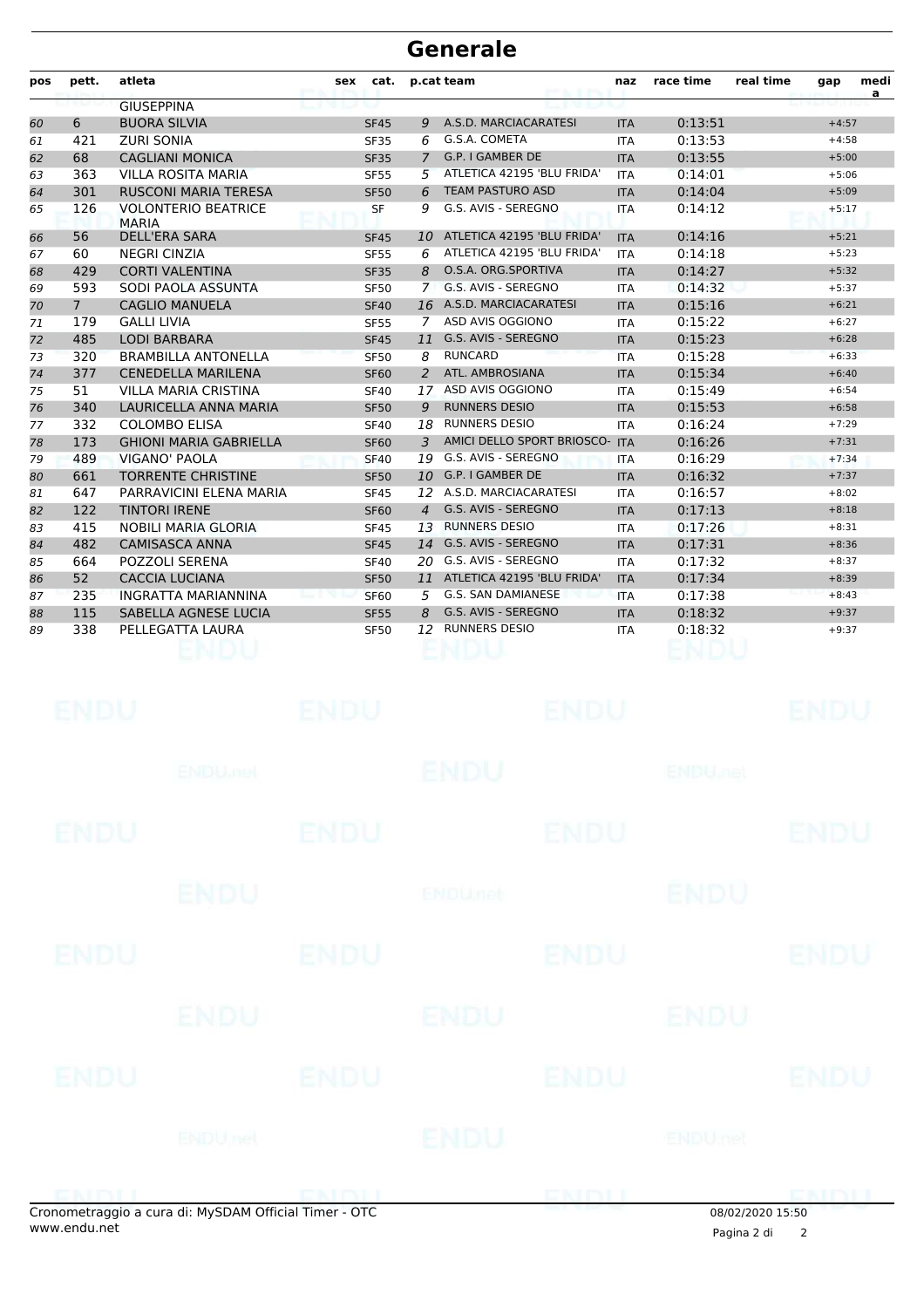| pos | pett.       | atleta                                     | sex | cat.        |                | p.cat team                 | naz        | race time | real time<br>medi<br>gap<br>$\mathbf{a}$ |
|-----|-------------|--------------------------------------------|-----|-------------|----------------|----------------------------|------------|-----------|------------------------------------------|
|     |             | <b>GIUSEPPINA</b>                          |     |             |                |                            |            |           |                                          |
| 60  | 6           | <b>BUORA SILVIA</b>                        |     | <b>SF45</b> | Q.             | A.S.D. MARCIACARATESI      | <b>ITA</b> | 0:13:51   | $+4:57$                                  |
| 61  | 421         | <b>ZURI SONIA</b>                          |     | <b>SF35</b> | 6              | G.S.A. COMETA              | <b>ITA</b> | 0:13:53   | $+4:58$                                  |
| 62  | 68          | <b>CAGLIANI MONICA</b>                     |     | <b>SF35</b> | 7              | G.P. I GAMBER DE           | <b>ITA</b> | 0:13:55   | $+5:00$                                  |
| 63  | 363         | <b>VILLA ROSITA MARIA</b>                  |     | <b>SF55</b> | 5              | ATLETICA 42195 'BLU FRIDA' | <b>ITA</b> | 0:14:01   | $+5:06$                                  |
| 64  | 301         | <b>RUSCONI MARIA TERESA</b>                |     | <b>SF50</b> | 6              | <b>TEAM PASTURO ASD</b>    | <b>ITA</b> | 0:14:04   | $+5:09$                                  |
| 65  | 126         | <b>VOLONTERIO BEATRICE</b><br><b>MARIA</b> |     | SF          | 9              | G.S. AVIS - SEREGNO        | <b>ITA</b> | 0:14:12   | $+5:17$                                  |
| 66  | 56          | <b>DELL'ERA SARA</b>                       |     | <b>SF45</b> | 10             | ATLETICA 42195 'BLU FRIDA' | <b>ITA</b> | 0:14:16   | $+5:21$                                  |
| 67  | 60          | <b>NEGRI CINZIA</b>                        |     | <b>SF55</b> | 6              | ATLETICA 42195 'BLU FRIDA' | <b>ITA</b> | 0:14:18   | $+5:23$                                  |
| 68  | 429         | <b>CORTI VALENTINA</b>                     |     | <b>SF35</b> | 8              | O.S.A. ORG.SPORTIVA        | <b>ITA</b> | 0:14:27   | $+5:32$                                  |
| 69  | 593         | SODI PAOLA ASSUNTA                         |     | <b>SF50</b> | $\overline{7}$ | G.S. AVIS - SEREGNO        | <b>ITA</b> | 0:14:32   | $+5:37$                                  |
| 70  | $7^{\circ}$ | <b>CAGLIO MANUELA</b>                      |     | <b>SF40</b> |                | 16 A.S.D. MARCIACARATESI   | <b>ITA</b> | 0:15:16   | $+6:21$                                  |
| 71  | 179         | <b>GALLI LIVIA</b>                         |     | <b>SF55</b> | 7              | ASD AVIS OGGIONO           | <b>ITA</b> | 0:15:22   | $+6:27$                                  |
| 72  | 485         | <b>LODI BARBARA</b>                        |     | <b>SF45</b> | 11             | G.S. AVIS - SEREGNO        | <b>ITA</b> | 0:15:23   | $+6:28$                                  |
| 73  | 320         | <b>BRAMBILLA ANTONELLA</b>                 |     | <b>SF50</b> | 8              | <b>RUNCARD</b>             | <b>ITA</b> | 0:15:28   | $+6:33$                                  |
| 74  | 377         | <b>CENEDELLA MARILENA</b>                  |     | <b>SF60</b> | 2              | ATL. AMBROSIANA            | <b>ITA</b> | 0:15:34   | $+6:40$                                  |
| 75  | 51          | <b>VILLA MARIA CRISTINA</b>                |     | <b>SF40</b> | 17             | ASD AVIS OGGIONO           | <b>ITA</b> | 0:15:49   | $+6:54$                                  |
| 76  | 340         | LAURICELLA ANNA MARIA                      |     | <b>SF50</b> | 9              | <b>RUNNERS DESIO</b>       | <b>ITA</b> | 0:15:53   | $+6:58$                                  |
| 77  | 332         | <b>COLOMBO ELISA</b>                       |     | <b>SF40</b> |                | 18 RUNNERS DESIO           | <b>ITA</b> | 0:16:24   | $+7:29$                                  |
| 78  | 173         | <b>GHIONI MARIA GABRIELLA</b>              |     | <b>SF60</b> | 3              | AMICI DELLO SPORT BRIOSCO- | <b>ITA</b> | 0:16:26   | $+7:31$                                  |
| 79  | 489         | VIGANO' PAOLA                              |     | <b>SF40</b> | 19             | G.S. AVIS - SEREGNO        | <b>ITA</b> | 0:16:29   | $+7:34$                                  |
| 80  | 661         | <b>TORRENTE CHRISTINE</b>                  |     | <b>SF50</b> | 10             | G.P. I GAMBER DE           | <b>ITA</b> | 0:16:32   | $+7:37$                                  |
| 81  | 647         | PARRAVICINI ELENA MARIA                    |     | <b>SF45</b> | 12             | A.S.D. MARCIACARATESI      | <b>ITA</b> | 0:16:57   | $+8:02$                                  |
| 82  | 122         | <b>TINTORI IRENE</b>                       |     | <b>SF60</b> | $\overline{4}$ | G.S. AVIS - SEREGNO        | <b>ITA</b> | 0:17:13   | $+8:18$                                  |
| 83  | 415         | <b>NOBILI MARIA GLORIA</b>                 |     | <b>SF45</b> | 13             | <b>RUNNERS DESIO</b>       | <b>ITA</b> | 0:17:26   | $+8:31$                                  |
| 84  | 482         | <b>CAMISASCA ANNA</b>                      |     | <b>SF45</b> | 14             | G.S. AVIS - SEREGNO        | <b>ITA</b> | 0:17:31   | $+8:36$                                  |
| 85  | 664         | <b>POZZOLI SERENA</b>                      |     | <b>SF40</b> | 20             | G.S. AVIS - SEREGNO        | <b>ITA</b> | 0:17:32   | $+8:37$                                  |
| 86  | 52          | <b>CACCIA LUCIANA</b>                      |     | <b>SF50</b> | 11             | ATLETICA 42195 'BLU FRIDA' | <b>ITA</b> | 0:17:34   | $+8:39$                                  |
| 87  | 235         | <b>INGRATTA MARIANNINA</b>                 |     | <b>SF60</b> | 5              | G.S. SAN DAMIANESE         | <b>ITA</b> | 0:17:38   | $+8:43$                                  |
| 88  | 115         | SABELLA AGNESE LUCIA                       |     | <b>SF55</b> | 8              | G.S. AVIS - SEREGNO        | <b>ITA</b> | 0:18:32   | $+9:37$                                  |
| 89  | 338         | PELLEGATTA LAURA                           |     | <b>SF50</b> | 12             | <b>RUNNERS DESIO</b>       | <b>ITA</b> | 0:18:32   | $+9:37$                                  |
|     |             |                                            |     |             |                |                            |            |           |                                          |

|             | onometraggio a cura di: MySDAM Official Timer - OTC |             |                | ENDLI       | 08/02/2020 15:50          | DMMI        |
|-------------|-----------------------------------------------------|-------------|----------------|-------------|---------------------------|-------------|
|             | <b>ENDU</b> nel                                     |             | ENDU           |             | <b>ENDUmet</b>            |             |
| <b>ENDU</b> |                                                     | <b>ENDU</b> |                | <b>ENDU</b> |                           | <b>ENDU</b> |
|             | ENDU                                                |             | <b>ENDU</b>    |             | ENDU                      |             |
| <b>ENDU</b> |                                                     | <b>ENDU</b> |                | <b>ENDU</b> |                           | <b>ENDU</b> |
|             | ENDU                                                |             | <b>ENDUmet</b> |             | <b>ENDU</b>               |             |
| <b>ENDU</b> |                                                     | <b>ENDU</b> |                | <b>ENDU</b> |                           | <b>ENDU</b> |
|             | <b>ENDUMBL</b>                                      |             | <b>ENDU</b>    |             | <b>ENDU<sub>DEL</sub></b> |             |
| <b>ENDU</b> |                                                     | <b>ENDU</b> |                | <b>ENDU</b> |                           | <b>ENDU</b> |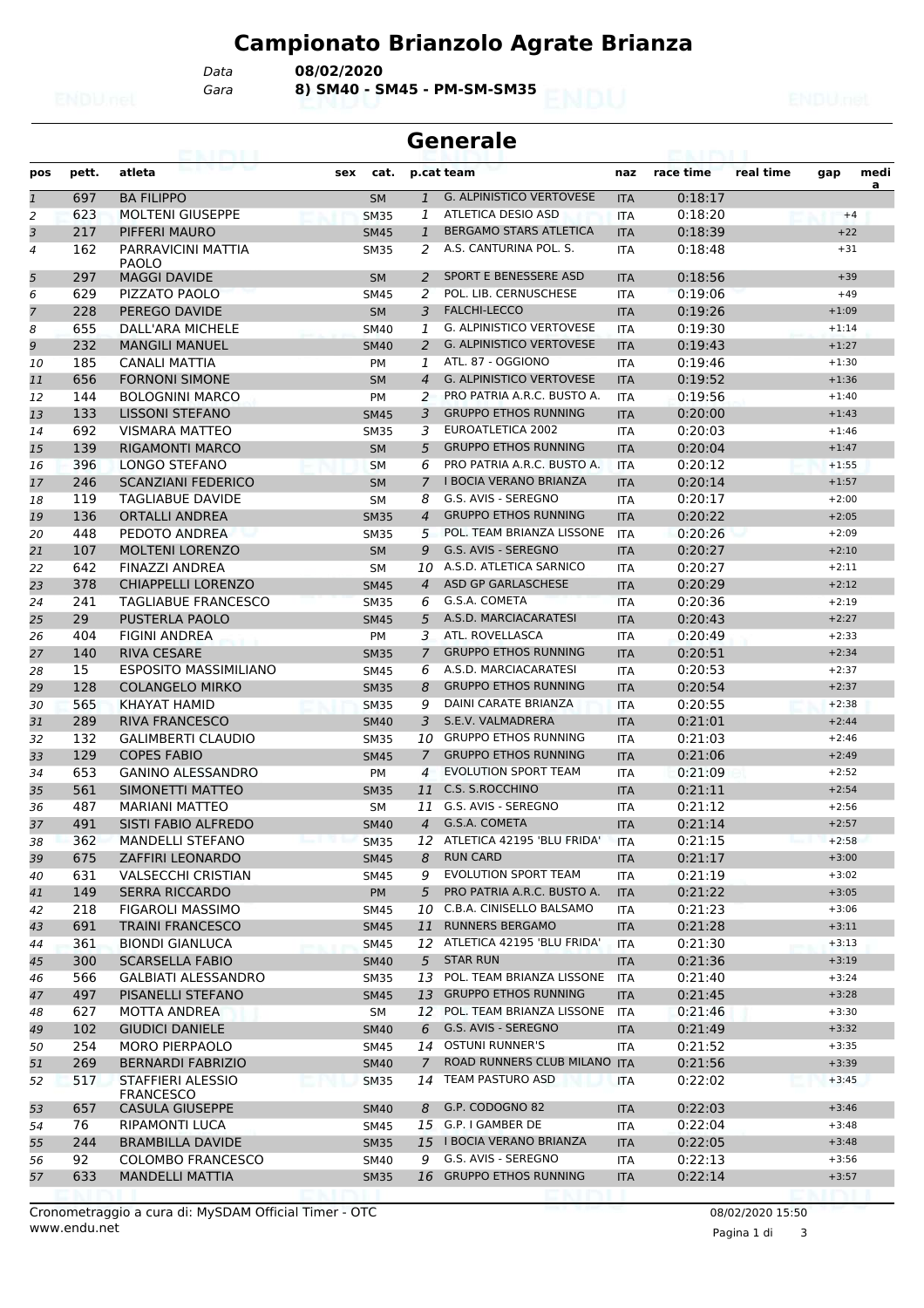*Gara* **8) SM40 - SM45 - PM-SM-SM35** *Data* **08/02/2020**

| <b>Generale</b> |       |                                       |     |             |                |                                 |            |           |           |         |           |  |
|-----------------|-------|---------------------------------------|-----|-------------|----------------|---------------------------------|------------|-----------|-----------|---------|-----------|--|
| pos             | pett. | atleta                                | sex | cat.        |                | p.cat team                      | naz        | race time | real time | gap     | medi<br>a |  |
| $\overline{1}$  | 697   | <b>BA FILIPPO</b>                     |     | <b>SM</b>   | $\mathbf{1}$   | <b>G. ALPINISTICO VERTOVESE</b> | <b>ITA</b> | 0:18:17   |           |         |           |  |
| 2               | 623   | <b>MOLTENI GIUSEPPE</b>               |     | <b>SM35</b> | 1              | ATLETICA DESIO ASD              | <b>ITA</b> | 0:18:20   |           | $+4$    |           |  |
| 3               | 217   | PIFFERI MAURO                         |     | <b>SM45</b> | 1              | <b>BERGAMO STARS ATLETICA</b>   | <b>ITA</b> | 0:18:39   |           | $+22$   |           |  |
| $\overline{4}$  | 162   | PARRAVICINI MATTIA<br>PAOLO           |     | <b>SM35</b> | 2              | A.S. CANTURINA POL. S.          | <b>ITA</b> | 0:18:48   |           | $+31$   |           |  |
| 5               | 297   | <b>MAGGI DAVIDE</b>                   |     | <b>SM</b>   | 2              | <b>SPORT E BENESSERE ASD</b>    | <b>ITA</b> | 0:18:56   |           | $+39$   |           |  |
| 6               | 629   | PIZZATO PAOLO                         |     | <b>SM45</b> | 2              | POL. LIB. CERNUSCHESE           | ITA        | 0:19:06   |           | $+49$   |           |  |
| 7               | 228   | PEREGO DAVIDE                         |     | <b>SM</b>   | 3              | <b>FALCHI-LECCO</b>             | <b>ITA</b> | 0:19:26   |           | $+1:09$ |           |  |
| 8               | 655   | DALL'ARA MICHELE                      |     | <b>SM40</b> | 1              | G. ALPINISTICO VERTOVESE        | <b>ITA</b> | 0:19:30   |           | $+1:14$ |           |  |
| 9               | 232   | <b>MANGILI MANUEL</b>                 |     | <b>SM40</b> | 2              | <b>G. ALPINISTICO VERTOVESE</b> | <b>ITA</b> | 0:19:43   |           | $+1:27$ |           |  |
| 10              | 185   | CANALI MATTIA                         |     | <b>PM</b>   | 1              | ATL. 87 - OGGIONO               | <b>ITA</b> | 0:19:46   |           | $+1:30$ |           |  |
| 11              | 656   | <b>FORNONI SIMONE</b>                 |     | <b>SM</b>   | $\overline{4}$ | <b>G. ALPINISTICO VERTOVESE</b> | <b>ITA</b> | 0:19:52   |           | $+1:36$ |           |  |
| 12              | 144   | <b>BOLOGNINI MARCO</b>                |     | PM          | 2              | PRO PATRIA A.R.C. BUSTO A.      | <b>ITA</b> | 0:19:56   |           | $+1:40$ |           |  |
| 13              | 133   | <b>LISSONI STEFANO</b>                |     | <b>SM45</b> | 3              | <b>GRUPPO ETHOS RUNNING</b>     | <b>ITA</b> | 0:20:00   |           | $+1:43$ |           |  |
| 14              | 692   | <b>VISMARA MATTEO</b>                 |     | <b>SM35</b> | 3              | EUROATLETICA 2002               | <b>ITA</b> | 0:20:03   |           | $+1:46$ |           |  |
| 15              | 139   | <b>RIGAMONTI MARCO</b>                |     | <b>SM</b>   | 5              | <b>GRUPPO ETHOS RUNNING</b>     | <b>ITA</b> | 0:20:04   |           | $+1:47$ |           |  |
| 16              | 396   | LONGO STEFANO                         |     | <b>SM</b>   | 6              | PRO PATRIA A.R.C. BUSTO A.      | <b>ITA</b> | 0:20:12   |           | $+1:55$ |           |  |
| 17              | 246   | <b>SCANZIANI FEDERICO</b>             |     | <b>SM</b>   | $\overline{7}$ | <b>I BOCIA VERANO BRIANZA</b>   | <b>ITA</b> | 0:20:14   |           | $+1:57$ |           |  |
| 18              | 119   | <b>TAGLIABUE DAVIDE</b>               |     | <b>SM</b>   | 8              | G.S. AVIS - SEREGNO             | <b>ITA</b> | 0:20:17   |           | $+2:00$ |           |  |
| 19              | 136   | <b>ORTALLI ANDREA</b>                 |     | <b>SM35</b> | $\overline{4}$ | <b>GRUPPO ETHOS RUNNING</b>     | <b>ITA</b> | 0:20:22   |           | $+2:05$ |           |  |
| 20              | 448   | PEDOTO ANDREA                         |     | <b>SM35</b> | 5              | POL. TEAM BRIANZA LISSONE       | <b>ITA</b> | 0:20:26   |           | $+2:09$ |           |  |
| 21              | 107   | <b>MOLTENI LORENZO</b>                |     | <b>SM</b>   | 9              | G.S. AVIS - SEREGNO             | <b>ITA</b> | 0:20:27   |           | $+2:10$ |           |  |
| 22              | 642   | FINAZZI ANDREA                        |     | <b>SM</b>   | 10             | A.S.D. ATLETICA SARNICO         | <b>ITA</b> | 0:20:27   |           | $+2:11$ |           |  |
|                 | 378   | <b>CHIAPPELLI LORENZO</b>             |     | <b>SM45</b> | $\overline{4}$ | ASD GP GARLASCHESE              | <b>ITA</b> | 0:20:29   |           | $+2:12$ |           |  |
| 23              | 241   | <b>TAGLIABUE FRANCESCO</b>            |     |             |                | G.S.A. COMETA                   |            | 0:20:36   |           | $+2:19$ |           |  |
| 24              |       |                                       |     | <b>SM35</b> | 6              | A.S.D. MARCIACARATESI           | <b>ITA</b> |           |           |         |           |  |
| 25              | 29    | <b>PUSTERLA PAOLO</b>                 |     | <b>SM45</b> | 5              |                                 | <b>ITA</b> | 0:20:43   |           | $+2:27$ |           |  |
| 26              | 404   | <b>FIGINI ANDREA</b>                  |     | <b>PM</b>   | 3              | ATL. ROVELLASCA                 | <b>ITA</b> | 0:20:49   |           | $+2:33$ |           |  |
| 27              | 140   | <b>RIVA CESARE</b>                    |     | <b>SM35</b> | 7              | <b>GRUPPO ETHOS RUNNING</b>     | <b>ITA</b> | 0:20:51   |           | $+2:34$ |           |  |
| 28              | 15    | <b>ESPOSITO MASSIMILIANO</b>          |     | <b>SM45</b> | 6              | A.S.D. MARCIACARATESI           | ITA        | 0:20:53   |           | $+2:37$ |           |  |
| 29              | 128   | <b>COLANGELO MIRKO</b>                |     | <b>SM35</b> | 8              | <b>GRUPPO ETHOS RUNNING</b>     | <b>ITA</b> | 0:20:54   |           | $+2:37$ |           |  |
| 30              | 565   | <b>KHAYAT HAMID</b>                   |     | <b>SM35</b> | 9              | DAINI CARATE BRIANZA            | ITA        | 0:20:55   |           | $+2:38$ |           |  |
| 31              | 289   | <b>RIVA FRANCESCO</b>                 |     | <b>SM40</b> | 3              | S.E.V. VALMADRERA               | <b>ITA</b> | 0:21:01   |           | $+2:44$ |           |  |
| 32              | 132   | <b>GALIMBERTI CLAUDIO</b>             |     | <b>SM35</b> | 10             | <b>GRUPPO ETHOS RUNNING</b>     | <b>ITA</b> | 0:21:03   |           | $+2:46$ |           |  |
| 33              | 129   | <b>COPES FABIO</b>                    |     | <b>SM45</b> | $\overline{7}$ | <b>GRUPPO ETHOS RUNNING</b>     | <b>ITA</b> | 0:21:06   |           | $+2:49$ |           |  |
| 34              | 653   | <b>GANINO ALESSANDRO</b>              |     | PM          | 4              | <b>EVOLUTION SPORT TEAM</b>     | ITA        | 0:21:09   |           | $+2:52$ |           |  |
| 35              | 561   | SIMONETTI MATTEO                      |     | <b>SM35</b> |                | 11 C.S. S.ROCCHINO              | <b>ITA</b> | 0:21:11   |           | $+2:54$ |           |  |
| 36              | 487   | <b>MARIANI MATTEO</b>                 |     | SM          |                | 11 G.S. AVIS - SEREGNO          | <b>ITA</b> | 0:21:12   |           | $+2:56$ |           |  |
| 37              | 491   | SISTI FABIO ALFREDO                   |     | <b>SM40</b> |                | 4 G.S.A. COMETA                 | <b>ITA</b> | 0:21:14   |           | $+2:57$ |           |  |
| 38              | 362   | <b>MANDELLI STEFANO</b>               |     | <b>SM35</b> |                | 12 ATLETICA 42195 'BLU FRIDA'   | <b>ITA</b> | 0:21:15   |           | $+2:58$ |           |  |
| 39              | 675   | ZAFFIRI LEONARDO                      |     | <b>SM45</b> | 8              | <b>RUN CARD</b>                 | <b>ITA</b> | 0:21:17   |           | $+3:00$ |           |  |
| 40              | 631   | <b>VALSECCHI CRISTIAN</b>             |     | <b>SM45</b> | 9              | EVOLUTION SPORT TEAM            | ITA        | 0:21:19   |           | $+3:02$ |           |  |
| 41              | 149   | <b>SERRA RICCARDO</b>                 |     | PM          | 5              | PRO PATRIA A.R.C. BUSTO A.      | <b>ITA</b> | 0:21:22   |           | $+3:05$ |           |  |
| 42              | 218   | <b>FIGAROLI MASSIMO</b>               |     | <b>SM45</b> | 10             | C.B.A. CINISELLO BALSAMO        | ITA        | 0:21:23   |           | $+3:06$ |           |  |
| 43              | 691   | <b>TRAINI FRANCESCO</b>               |     | <b>SM45</b> |                | 11 RUNNERS BERGAMO              | <b>ITA</b> | 0:21:28   |           | $+3:11$ |           |  |
| 44              | 361   | <b>BIONDI GIANLUCA</b>                |     | <b>SM45</b> |                | 12 ATLETICA 42195 'BLU FRIDA'   | ITA        | 0:21:30   |           | $+3:13$ |           |  |
| 45              | 300   | <b>SCARSELLA FABIO</b>                |     | <b>SM40</b> | 5              | <b>STAR RUN</b>                 | <b>ITA</b> | 0:21:36   |           | $+3:19$ |           |  |
| 46              | 566   | GALBIATI ALESSANDRO                   |     | <b>SM35</b> |                | 13 POL. TEAM BRIANZA LISSONE    | ITA        | 0:21:40   |           | $+3:24$ |           |  |
| 47              | 497   | PISANELLI STEFANO                     |     | <b>SM45</b> |                | 13 GRUPPO ETHOS RUNNING         | <b>ITA</b> | 0:21:45   |           | $+3:28$ |           |  |
| 48              | 627   | <b>MOTTA ANDREA</b>                   |     | SM          |                | 12 POL. TEAM BRIANZA LISSONE    | ITA        | 0:21:46   |           | $+3:30$ |           |  |
| 49              | 102   | <b>GIUDICI DANIELE</b>                |     | <b>SM40</b> | 6              | G.S. AVIS - SEREGNO             | <b>ITA</b> | 0:21:49   |           | $+3:32$ |           |  |
| 50              | 254   | <b>MORO PIERPAOLO</b>                 |     | SM45        |                | 14 OSTUNI RUNNER'S              | ITA        | 0:21:52   |           | $+3:35$ |           |  |
| 51              | 269   | <b>BERNARDI FABRIZIO</b>              |     | <b>SM40</b> | $7^{\circ}$    | ROAD RUNNERS CLUB MILANO ITA    |            | 0:21:56   |           | $+3:39$ |           |  |
| 52              | 517   | <b>STAFFIERI ALESSIO</b><br>FRANCESCO |     | <b>SM35</b> |                | 14 TEAM PASTURO ASD             | <b>ITA</b> | 0:22:02   |           | $+3:45$ |           |  |
| 53              | 657   | CASULA GIUSEPPE                       |     | <b>SM40</b> | 8              | G.P. CODOGNO 82                 | <b>ITA</b> | 0:22:03   |           | $+3:46$ |           |  |
| 54              | 76    | RIPAMONTI LUCA                        |     | <b>SM45</b> |                | 15 G.P. I GAMBER DE             | ITA        | 0:22:04   |           | $+3:48$ |           |  |
| 55              | 244   | <b>BRAMBILLA DAVIDE</b>               |     | <b>SM35</b> |                | 15 I BOCIA VERANO BRIANZA       | <b>ITA</b> | 0:22:05   |           | $+3:48$ |           |  |
| 56              | 92    | COLOMBO FRANCESCO                     |     | SM40        | 9              | G.S. AVIS - SEREGNO             | ITA        | 0:22:13   |           | $+3:56$ |           |  |
| 57              | 633   | <b>MANDELLI MATTIA</b>                |     | <b>SM35</b> |                | 16 GRUPPO ETHOS RUNNING         | <b>ITA</b> | 0:22:14   |           | $+3:57$ |           |  |

Pagina 1 di 3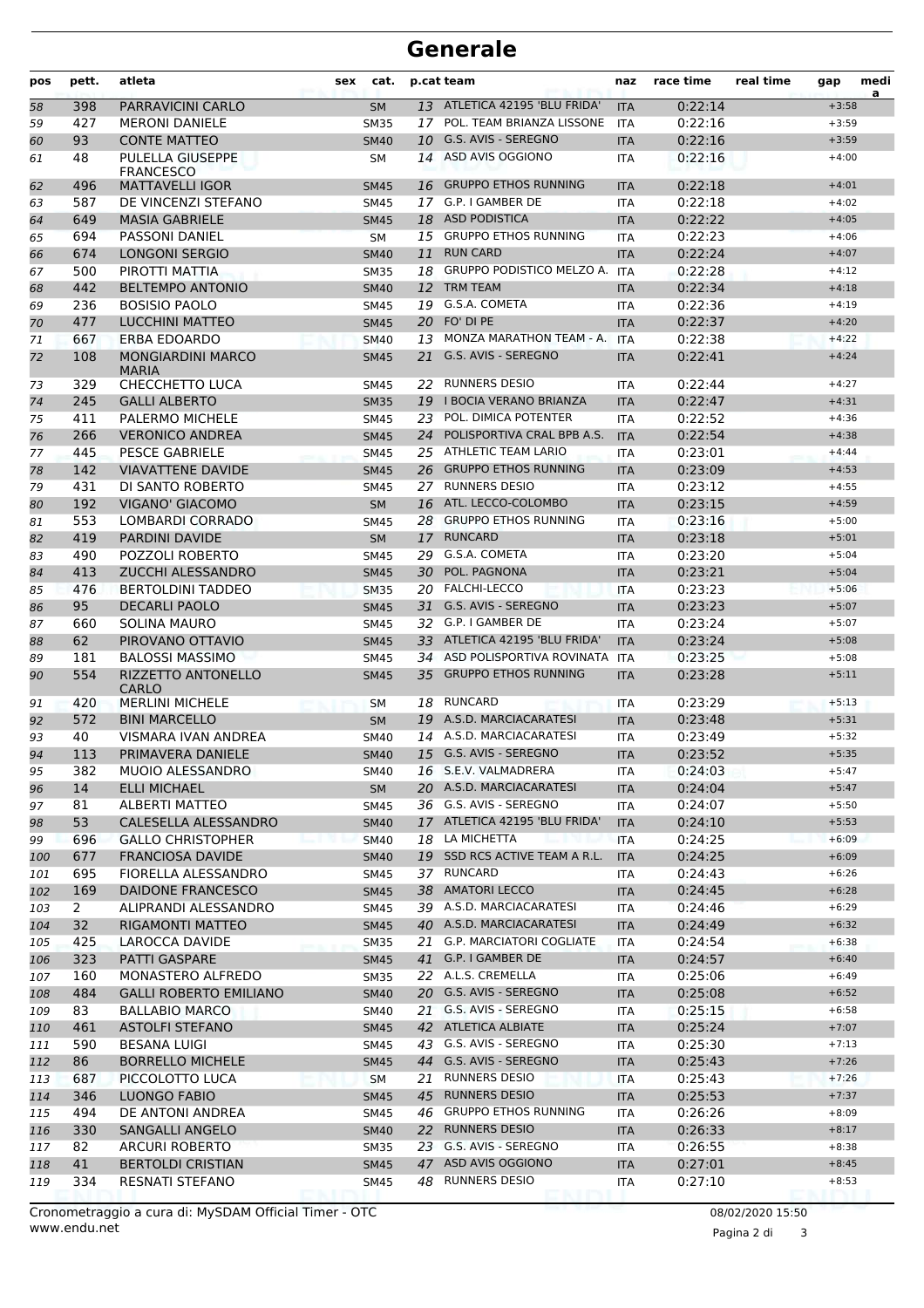| pos | pett. | atleta                                   | sex | cat.        |    | p.cat team                    | naz        | race time | real time | gap     | medi<br>a |
|-----|-------|------------------------------------------|-----|-------------|----|-------------------------------|------------|-----------|-----------|---------|-----------|
| 58  | 398   | PARRAVICINI CARLO                        |     | <b>SM</b>   |    | 13 ATLETICA 42195 'BLU FRIDA' | <b>ITA</b> | 0:22:14   |           | $+3:58$ |           |
| 59  | 427   | <b>MERONI DANIELE</b>                    |     | <b>SM35</b> |    | 17 POL. TEAM BRIANZA LISSONE  | <b>ITA</b> | 0:22:16   |           | $+3:59$ |           |
| 60  | 93    | <b>CONTE MATTEO</b>                      |     | <b>SM40</b> | 10 | G.S. AVIS - SEREGNO           | <b>ITA</b> | 0:22:16   |           | $+3:59$ |           |
| 61  | 48    | PULELLA GIUSEPPE<br><b>FRANCESCO</b>     |     | SΜ          |    | 14 ASD AVIS OGGIONO           | <b>ITA</b> | 0:22:16   |           | $+4:00$ |           |
| 62  | 496   | <b>MATTAVELLI IGOR</b>                   |     | <b>SM45</b> | 16 | <b>GRUPPO ETHOS RUNNING</b>   | <b>ITA</b> | 0:22:18   |           | $+4:01$ |           |
| 63  | 587   | DE VINCENZI STEFANO                      |     | <b>SM45</b> | 17 | G.P. I GAMBER DE              | <b>ITA</b> | 0:22:18   |           | $+4:02$ |           |
| 64  | 649   | <b>MASIA GABRIELE</b>                    |     | <b>SM45</b> |    | 18 ASD PODISTICA              | <b>ITA</b> | 0:22:22   |           | $+4:05$ |           |
| 65  | 694   | PASSONI DANIEL                           |     | <b>SM</b>   |    | 15 GRUPPO ETHOS RUNNING       | <b>ITA</b> | 0:22:23   |           | $+4:06$ |           |
| 66  | 674   | <b>LONGONI SERGIO</b>                    |     | <b>SM40</b> | 11 | <b>RUN CARD</b>               | <b>ITA</b> | 0:22:24   |           | $+4:07$ |           |
| 67  | 500   | PIROTTI MATTIA                           |     | <b>SM35</b> |    | 18 GRUPPO PODISTICO MELZO A.  | <b>ITA</b> | 0:22:28   |           | $+4:12$ |           |
| 68  | 442   | <b>BELTEMPO ANTONIO</b>                  |     | <b>SM40</b> | 12 | <b>TRM TEAM</b>               | <b>ITA</b> | 0:22:34   |           | $+4:18$ |           |
| 69  | 236   | <b>BOSISIO PAOLO</b>                     |     | <b>SM45</b> |    | 19 G.S.A. COMETA              | <b>ITA</b> | 0:22:36   |           | $+4:19$ |           |
| 70  | 477   | <b>LUCCHINI MATTEO</b>                   |     | <b>SM45</b> |    | 20 FO' DI PE                  | <b>ITA</b> | 0:22:37   |           | $+4:20$ |           |
| 71  | 667   | ERBA EDOARDO                             |     | <b>SM40</b> | 13 | MONZA MARATHON TEAM - A.      | <b>ITA</b> | 0:22:38   |           | $+4:22$ |           |
| 72  | 108   | <b>MONGIARDINI MARCO</b><br><b>MARIA</b> |     | <b>SM45</b> | 21 | G.S. AVIS - SEREGNO           | <b>ITA</b> | 0:22:41   |           | $+4:24$ |           |
| 73  | 329   | CHECCHETTO LUCA                          |     | <b>SM45</b> |    | 22 RUNNERS DESIO              | <b>ITA</b> | 0:22:44   |           | $+4:27$ |           |
| 74  | 245   | <b>GALLI ALBERTO</b>                     |     | <b>SM35</b> | 19 | I BOCIA VERANO BRIANZA        | <b>ITA</b> | 0:22:47   |           | $+4:31$ |           |
| 75  | 411   | PALERMO MICHELE                          |     | SM45        | 23 | POL. DIMICA POTENTER          | <b>ITA</b> | 0:22:52   |           | $+4:36$ |           |
| 76  | 266   | <b>VERONICO ANDREA</b>                   |     | <b>SM45</b> | 24 | POLISPORTIVA CRAL BPB A.S.    | <b>ITA</b> | 0:22:54   |           | $+4:38$ |           |
| 77  | 445   | PESCE GABRIELE                           |     | <b>SM45</b> |    | 25 ATHLETIC TEAM LARIO        | <b>ITA</b> | 0:23:01   |           | $+4:44$ |           |
| 78  | 142   | <b>VIAVATTENE DAVIDE</b>                 |     | <b>SM45</b> |    | 26 GRUPPO ETHOS RUNNING       | <b>ITA</b> | 0:23:09   |           | $+4:53$ |           |
| 79  | 431   | DI SANTO ROBERTO                         |     | SM45        |    | 27 RUNNERS DESIO              | <b>ITA</b> | 0:23:12   |           | $+4:55$ |           |
| 80  | 192   | VIGANO' GIACOMO                          |     | <b>SM</b>   |    | 16 ATL. LECCO-COLOMBO         | <b>ITA</b> | 0:23:15   |           | $+4:59$ |           |
| 81  | 553   | LOMBARDI CORRADO                         |     | <b>SM45</b> | 28 | <b>GRUPPO ETHOS RUNNING</b>   | <b>ITA</b> | 0:23:16   |           | $+5:00$ |           |
| 82  | 419   | <b>PARDINI DAVIDE</b>                    |     | <b>SM</b>   | 17 | <b>RUNCARD</b>                | <b>ITA</b> | 0:23:18   |           | $+5:01$ |           |
| 83  | 490   | POZZOLI ROBERTO                          |     | <b>SM45</b> | 29 | G.S.A. COMETA                 | <b>ITA</b> | 0:23:20   |           | $+5:04$ |           |
| 84  | 413   | ZUCCHI ALESSANDRO                        |     | <b>SM45</b> | 30 | POL. PAGNONA                  | <b>ITA</b> | 0:23:21   |           | $+5:04$ |           |
| 85  | 476   | <b>BERTOLDINI TADDEO</b>                 |     | <b>SM35</b> |    | 20 FALCHI-LECCO               | <b>ITA</b> | 0:23:23   |           | $+5:06$ |           |
| 86  | 95    | <b>DECARLI PAOLO</b>                     |     | <b>SM45</b> | 31 | G.S. AVIS - SEREGNO           | <b>ITA</b> | 0:23:23   |           | $+5:07$ |           |
| 87  | 660   | <b>SOLINA MAURO</b>                      |     | SM45        | 32 | G.P. I GAMBER DE              | <b>ITA</b> | 0:23:24   |           | $+5:07$ |           |
| 88  | 62    | PIROVANO OTTAVIO                         |     | <b>SM45</b> |    | 33 ATLETICA 42195 'BLU FRIDA' | <b>ITA</b> | 0:23:24   |           | $+5:08$ |           |
| 89  | 181   | <b>BALOSSI MASSIMO</b>                   |     | <b>SM45</b> |    | 34 ASD POLISPORTIVA ROVINATA  | <b>ITA</b> | 0:23:25   |           | $+5:08$ |           |
| 90  | 554   | RIZZETTO ANTONELLO<br>CARLO              |     | <b>SM45</b> | 35 | <b>GRUPPO ETHOS RUNNING</b>   | <b>ITA</b> | 0:23:28   |           | $+5:11$ |           |
| 91  | 420   | <b>MERLINI MICHELE</b>                   |     | <b>SM</b>   | 18 | RUNCARD                       | ITA        | 0:23:29   |           | $+5:13$ |           |
| 92  | 572   | <b>BINI MARCELLO</b>                     |     | <b>SM</b>   |    | 19 A.S.D. MARCIACARATESI      | <b>ITA</b> | 0:23:48   |           | $+5:31$ |           |
| 93  | 40    | <b>VISMARA IVAN ANDREA</b>               |     | <b>SM40</b> | 14 | A.S.D. MARCIACARATESI         | <b>ITA</b> | 0:23:49   |           | $+5:32$ |           |
| 94  | 113   | PRIMAVERA DANIELE                        |     | <b>SM40</b> |    | 15 G.S. AVIS - SEREGNO        | <b>ITA</b> | 0:23:52   |           | $+5:35$ |           |
| 95  | 382   | MUOIO ALESSANDRO                         |     | SM40        |    | 16 S.E.V. VALMADRERA          | ITA        | 0:24:03   |           | $+5:47$ |           |
| 96  | 14    | <b>ELLI MICHAEL</b>                      |     | <b>SM</b>   |    | 20 A.S.D. MARCIACARATESI      | <b>ITA</b> | 0:24:04   |           | $+5:47$ |           |
| 97  | 81    | ALBERTI MATTEO                           |     | SM45        |    | 36 G.S. AVIS - SEREGNO        | ITA        | 0:24:07   |           | $+5:50$ |           |
| 98  | 53    | CALESELLA ALESSANDRO                     |     | <b>SM40</b> |    | 17 ATLETICA 42195 'BLU FRIDA' | <b>ITA</b> | 0:24:10   |           | $+5:53$ |           |
| 99  | 696   | <b>GALLO CHRISTOPHER</b>                 |     | <b>SM40</b> |    | 18 LA MICHETTA                | ITA        | 0:24:25   |           | $+6:09$ |           |
| 100 | 677   | <b>FRANCIOSA DAVIDE</b>                  |     | <b>SM40</b> |    | 19 SSD RCS ACTIVE TEAM A R.L. | <b>ITA</b> | 0:24:25   |           | $+6:09$ |           |
| 101 | 695   | FIORELLA ALESSANDRO                      |     | SM45        |    | 37 RUNCARD                    | ITA        | 0:24:43   |           | $+6:26$ |           |
| 102 | 169   | DAIDONE FRANCESCO                        |     | <b>SM45</b> |    | 38 AMATORI LECCO              | <b>ITA</b> | 0:24:45   |           | $+6:28$ |           |
| 103 | 2     | ALIPRANDI ALESSANDRO                     |     | SM45        |    | 39 A.S.D. MARCIACARATESI      | ITA        | 0:24:46   |           | $+6:29$ |           |
| 104 | 32    | RIGAMONTI MATTEO                         |     | <b>SM45</b> |    | 40 A.S.D. MARCIACARATESI      | <b>ITA</b> | 0:24:49   |           | $+6:32$ |           |
| 105 | 425   | LAROCCA DAVIDE                           |     | <b>SM35</b> |    | 21 G.P. MARCIATORI COGLIATE   | ITA        | 0:24:54   |           | $+6:38$ |           |
| 106 | 323   | PATTI GASPARE                            |     | <b>SM45</b> |    | 41 G.P. I GAMBER DE           | <b>ITA</b> | 0:24:57   |           | $+6:40$ |           |
| 107 | 160   | MONASTERO ALFREDO                        |     | SM35        |    | 22 A.L.S. CREMELLA            | ITA        | 0:25:06   |           | $+6:49$ |           |
| 108 | 484   | <b>GALLI ROBERTO EMILIANO</b>            |     | <b>SM40</b> |    | 20 G.S. AVIS - SEREGNO        | <b>ITA</b> | 0:25:08   |           | $+6:52$ |           |
| 109 | 83    | <b>BALLABIO MARCO</b>                    |     | SM40        |    | 21 G.S. AVIS - SEREGNO        | ITA        | 0:25:15   |           | $+6:58$ |           |
| 110 | 461   | <b>ASTOLFI STEFANO</b>                   |     | <b>SM45</b> |    | 42 ATLETICA ALBIATE           | <b>ITA</b> | 0:25:24   |           | $+7:07$ |           |
| 111 | 590   | <b>BESANA LUIGI</b>                      |     | SM45        |    | 43 G.S. AVIS - SEREGNO        | ITA        | 0:25:30   |           | $+7:13$ |           |
| 112 | 86    | <b>BORRELLO MICHELE</b>                  |     | <b>SM45</b> |    | 44 G.S. AVIS - SEREGNO        | <b>ITA</b> | 0:25:43   |           | $+7:26$ |           |
| 113 | 687   | PICCOLOTTO LUCA                          |     | <b>SM</b>   | 21 | <b>RUNNERS DESIO</b>          | ITA        | 0:25:43   |           | $+7:26$ |           |
| 114 | 346   | LUONGO FABIO                             |     | <b>SM45</b> | 45 | <b>RUNNERS DESIO</b>          | <b>ITA</b> | 0:25:53   |           | $+7:37$ |           |
| 115 | 494   | DE ANTONI ANDREA                         |     | SM45        |    | 46 GRUPPO ETHOS RUNNING       | ITA        | 0:26:26   |           | $+8:09$ |           |
| 116 | 330   | <b>SANGALLI ANGELO</b>                   |     | <b>SM40</b> |    | 22 RUNNERS DESIO              | <b>ITA</b> | 0:26:33   |           | $+8:17$ |           |
| 117 | 82    | <b>ARCURI ROBERTO</b>                    |     | SM35        |    | 23 G.S. AVIS - SEREGNO        | ITA        | 0:26:55   |           | $+8:38$ |           |
| 118 | 41    | <b>BERTOLDI CRISTIAN</b>                 |     | <b>SM45</b> |    | 47 ASD AVIS OGGIONO           | <b>ITA</b> | 0:27:01   |           | $+8:45$ |           |
| 119 | 334   | RESNATI STEFANO                          |     | SM45        |    | 48 RUNNERS DESIO              | ITA        | 0:27:10   |           | $+8:53$ |           |

Pagina 2 di 3